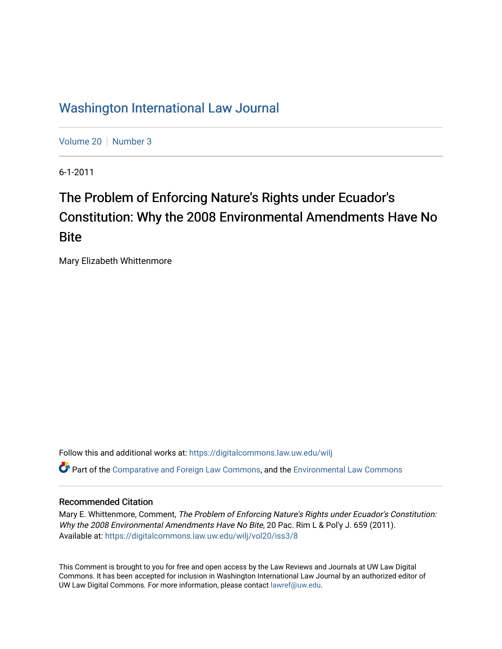## [Washington International Law Journal](https://digitalcommons.law.uw.edu/wilj)

[Volume 20](https://digitalcommons.law.uw.edu/wilj/vol20) | [Number 3](https://digitalcommons.law.uw.edu/wilj/vol20/iss3)

6-1-2011

# The Problem of Enforcing Nature's Rights under Ecuador's Constitution: Why the 2008 Environmental Amendments Have No **Bite**

Mary Elizabeth Whittenmore

Follow this and additional works at: [https://digitalcommons.law.uw.edu/wilj](https://digitalcommons.law.uw.edu/wilj?utm_source=digitalcommons.law.uw.edu%2Fwilj%2Fvol20%2Fiss3%2F8&utm_medium=PDF&utm_campaign=PDFCoverPages) 

Part of the [Comparative and Foreign Law Commons,](http://network.bepress.com/hgg/discipline/836?utm_source=digitalcommons.law.uw.edu%2Fwilj%2Fvol20%2Fiss3%2F8&utm_medium=PDF&utm_campaign=PDFCoverPages) and the [Environmental Law Commons](http://network.bepress.com/hgg/discipline/599?utm_source=digitalcommons.law.uw.edu%2Fwilj%2Fvol20%2Fiss3%2F8&utm_medium=PDF&utm_campaign=PDFCoverPages) 

### Recommended Citation

Mary E. Whittenmore, Comment, The Problem of Enforcing Nature's Rights under Ecuador's Constitution: Why the 2008 Environmental Amendments Have No Bite, 20 Pac. Rim L & Pol'y J. 659 (2011). Available at: [https://digitalcommons.law.uw.edu/wilj/vol20/iss3/8](https://digitalcommons.law.uw.edu/wilj/vol20/iss3/8?utm_source=digitalcommons.law.uw.edu%2Fwilj%2Fvol20%2Fiss3%2F8&utm_medium=PDF&utm_campaign=PDFCoverPages) 

This Comment is brought to you for free and open access by the Law Reviews and Journals at UW Law Digital Commons. It has been accepted for inclusion in Washington International Law Journal by an authorized editor of UW Law Digital Commons. For more information, please contact [lawref@uw.edu](mailto:lawref@uw.edu).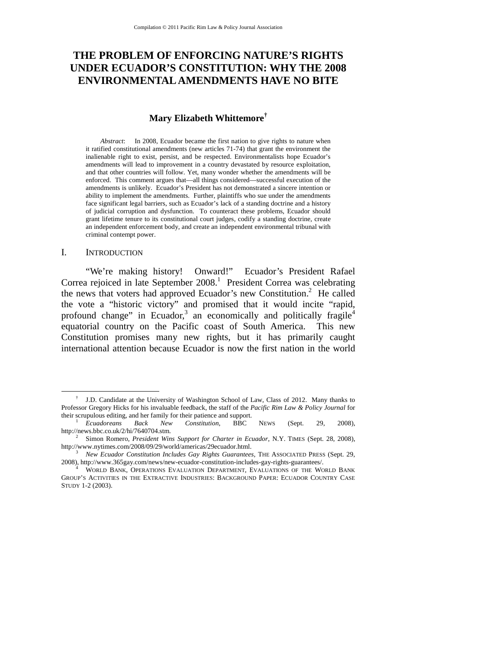### **THE PROBLEM OF ENFORCING NATURE'S RIGHTS UNDER ECUADOR'S CONSTITUTION: WHY THE 2008 ENVIRONMENTAL AMENDMENTS HAVE NO BITE**

### **Mary Elizabeth Whittemore†**

*Abstract*: In 2008, Ecuador became the first nation to give rights to nature when it ratified constitutional amendments (new articles 71-74) that grant the environment the inalienable right to exist, persist, and be respected. Environmentalists hope Ecuador's amendments will lead to improvement in a country devastated by resource exploitation, and that other countries will follow. Yet, many wonder whether the amendments will be enforced. This comment argues that—all things considered—successful execution of the amendments is unlikely. Ecuador's President has not demonstrated a sincere intention or ability to implement the amendments. Further, plaintiffs who sue under the amendments face significant legal barriers, such as Ecuador's lack of a standing doctrine and a history of judicial corruption and dysfunction. To counteract these problems, Ecuador should grant lifetime tenure to its constitutional court judges, codify a standing doctrine, create an independent enforcement body, and create an independent environmental tribunal with criminal contempt power.

#### I. INTRODUCTION

"We're making history! Onward!" Ecuador's President Rafael Correa rejoiced in late September 2008.<sup>1</sup> President Correa was celebrating the news that voters had approved Ecuador's new Constitution.<sup>2</sup> He called the vote a "historic victory" and promised that it would incite "rapid, profound change" in Ecuador,  $3$  an economically and politically fragile<sup>4</sup> equatorial country on the Pacific coast of South America. This new Constitution promises many new rights, but it has primarily caught international attention because Ecuador is now the first nation in the world

 <sup>†</sup> J.D. Candidate at the University of Washington School of Law, Class of 2012. Many thanks to Professor Gregory Hicks for his invaluable feedback, the staff of the *Pacific Rim Law & Policy Journal* for

Ecuadoreans Back New Constitution, BBC NEWS (Sept. 29, 2008), http://news.bbc.co.uk/2/hi/7640704.stm. 2

<sup>&</sup>lt;sup>2</sup> Simon Romero, *President Wins Support for Charter in Ecuador*, N.Y. TIMES (Sept. 28, 2008), http://www.nytimes.com/2008/09/29/world/americas/29ecuador.html.

<sup>&</sup>lt;sup>3</sup> New Ecuador Constitution Includes Gay Rights Guarantees, THE ASSOCIATED PRESS (Sept. 29, 2008), http://www.365gay.com/news/new-ecuador-constitution-includes-gay-rights-guarantees/. 4

WORLD BANK, OPERATIONS EVALUATION DEPARTMENT, EVALUATIONS OF THE WORLD BANK GROUP'S ACTIVITIES IN THE EXTRACTIVE INDUSTRIES: BACKGROUND PAPER: ECUADOR COUNTRY CASE STUDY 1-2 (2003).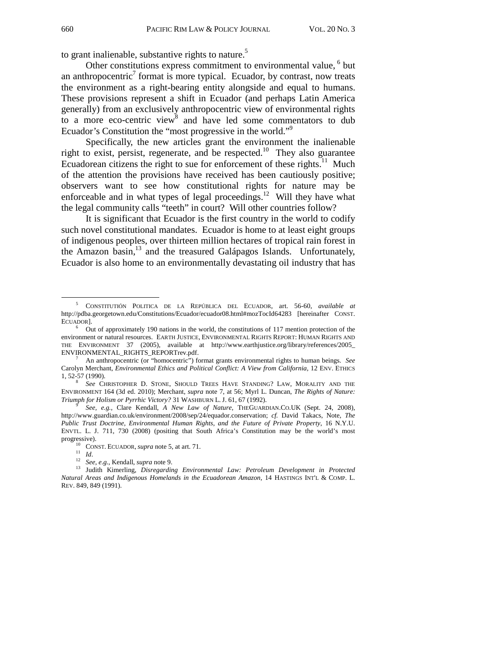to grant inalienable, substantive rights to nature.<sup>5</sup>

Other constitutions express commitment to environmental value, <sup>6</sup> but an anthropocentric<sup>7</sup> format is more typical. Ecuador, by contrast, now treats the environment as a right-bearing entity alongside and equal to humans. These provisions represent a shift in Ecuador (and perhaps Latin America generally) from an exclusively anthropocentric view of environmental rights to a more eco-centric view $\delta$  and have led some commentators to dub Ecuador's Constitution the "most progressive in the world."<sup>9</sup>

Specifically, the new articles grant the environment the inalienable right to exist, persist, regenerate, and be respected.<sup>10</sup> They also guarantee Ecuadorean citizens the right to sue for enforcement of these rights.<sup>11</sup> Much of the attention the provisions have received has been cautiously positive; observers want to see how constitutional rights for nature may be enforceable and in what types of legal proceedings.<sup>12</sup> Will they have what the legal community calls "teeth" in court? Will other countries follow?

It is significant that Ecuador is the first country in the world to codify such novel constitutional mandates. Ecuador is home to at least eight groups of indigenous peoples, over thirteen million hectares of tropical rain forest in the Amazon basin, $^{13}$  and the treasured Galápagos Islands. Unfortunately, Ecuador is also home to an environmentally devastating oil industry that has

 $\frac{1}{5}$  CONSTITUTIÓN POLITICA DE LA REPÚBLICA DEL ECUADOR, art. 56-60, *available at*  http://pdba.georgetown.edu/Constitutions/Ecuador/ecuador08.html#mozTocId64283 [hereinafter CONST. ECUADOR].<br><sup>6</sup> Out of approximately 190 nations in the world, the constitutions of 117 mention protection of the

environment or natural resources. EARTH JUSTICE, ENVIRONMENTAL RIGHTS REPORT: HUMAN RIGHTS AND THE ENVIRONMENT 37 (2005), available at http://www.earthjustice.org/library/references/2005\_ ENVIRONMENTAL\_RIGHTS\_REPORTrev.pdf. 7

An anthropocentric (or "homocentric") format grants environmental rights to human beings. *See*  Carolyn Merchant, *Environmental Ethics and Political Conflict: A View from California*, 12 ENV. ETHICS

<sup>1, 52-57 (1990).</sup> **8** *See* Christopher D. Stone, Should Trees Have Standing? Law, Morality and the ENVIRONMENT 164 (3d ed. 2010); Merchant, *supra* note 7, at 56; Myrl L. Duncan, *The Rights of Nature: Triumph for Holism or Pyrrhic Victory?* 31 WASHBURN L. J. 61, 67 (1992). 9 *See, e.g.,* Clare Kendall, *A New Law of Nature*, THEGUARDIAN.CO.UK (Sept. 24, 2008),

http://www.guardian.co.uk/environment/2008/sep/24/equador.conservation; *cf.* David Takacs, Note, *The Public Trust Doctrine, Environmental Human Rights, and the Future of Private Property*, 16 N.Y.U. ENVTL. L. J. 711, 730 (2008) (positing that South Africa's Constitution may be the world's most

progressive).<br>
<sup>10</sup> CONST. ECUADOR, *supra* note 5, at art. 71.<br>
<sup>11</sup> Id.<br>
<sup>22</sup> See, e.g., Kendall, *supra* note 9.<br>
<sup>13</sup> Judith Kimerling, *Disregarding Environmental Law: Petroleum Development in Protected Natural Areas and Indigenous Homelands in the Ecuadorean Amazon,* 14 HASTINGS INT'L & COMP. L. REV. 849, 849 (1991).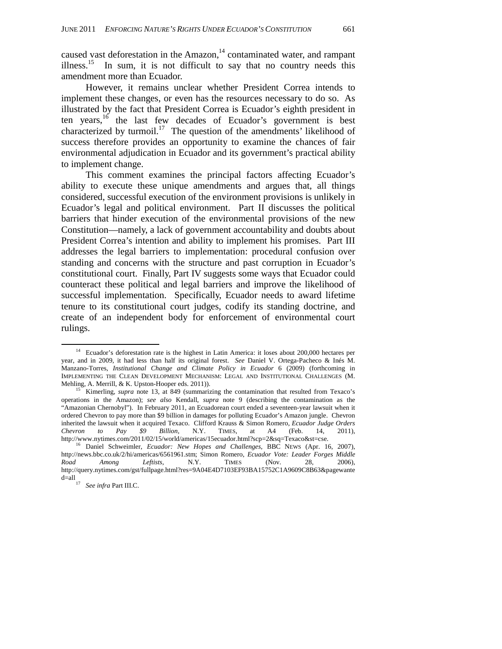caused vast deforestation in the Amazon, $14$  contaminated water, and rampant illness.<sup>15</sup> In sum, it is not difficult to say that no country needs this amendment more than Ecuador.

However, it remains unclear whether President Correa intends to implement these changes, or even has the resources necessary to do so. As illustrated by the fact that President Correa is Ecuador's eighth president in ten years,<sup>16</sup> the last few decades of Ecuador's government is best characterized by turmoil.<sup>17</sup> The question of the amendments' likelihood of success therefore provides an opportunity to examine the chances of fair environmental adjudication in Ecuador and its government's practical ability to implement change.

This comment examines the principal factors affecting Ecuador's ability to execute these unique amendments and argues that, all things considered, successful execution of the environment provisions is unlikely in Ecuador's legal and political environment. Part II discusses the political barriers that hinder execution of the environmental provisions of the new Constitution—namely, a lack of government accountability and doubts about President Correa's intention and ability to implement his promises. Part III addresses the legal barriers to implementation: procedural confusion over standing and concerns with the structure and past corruption in Ecuador's constitutional court. Finally, Part IV suggests some ways that Ecuador could counteract these political and legal barriers and improve the likelihood of successful implementation. Specifically, Ecuador needs to award lifetime tenure to its constitutional court judges, codify its standing doctrine, and create of an independent body for enforcement of environmental court rulings.

<sup>&</sup>lt;sup>14</sup> Ecuador's deforestation rate is the highest in Latin America: it loses about 200,000 hectares per year, and in 2009, it had less than half its original forest. *See* Daniel V. Ortega-Pacheco & Inés M. Manzano-Torres, *Institutional Change and Climate Policy in Ecuador* 6 (2009) (forthcoming in IMPLEMENTING THE CLEAN DEVELOPMENT MECHANISM: LEGAL AND INSTITUTIONAL CHALLENGES (M. Mehling, A. Merrill, & K. Upston-Hooper eds. 2011)).<br><sup>15</sup> Kimerling, *supra* note 13, at 849 (summarizing the contamination that resulted from Texaco's

operations in the Amazon); *see also* Kendall, *supra* note 9 (describing the contamination as the "Amazonian Chernobyl"). In February 2011, an Ecuadorean court ended a seventeen-year lawsuit when it ordered Chevron to pay more than \$9 billion in damages for polluting Ecuador's Amazon jungle. Chevron inherited the lawsuit when it acquired Texaco. Clifford Krauss & Simon Romero, *Ecuador Judge Orders Chevron to Pay \$9 Billion*, N.Y. TIMES, at A4 (Feb. 14, 2011),

http://www.nytimes.com/2011/02/15/world/americas/15ecuador.html?scp=2&sq=Texaco&st=cse. 16 Daniel Schweimler, *Ecuador: New Hopes and Challenges*, BBC NEWS (Apr. 16, 2007), http://news.bbc.co.uk/2/hi/americas/6561961.stm; Simon Romero, *Ecuador Vote: Leader Forges Middle Road Among Leftists*, N.Y. TIMES (Nov. 28, 2006), http://query.nytimes.com/gst/fullpage.html?res=9A04E4D7103EF93BA15752C1A9609C8B63&pagewante d=all 17 *See infra* Part III.C.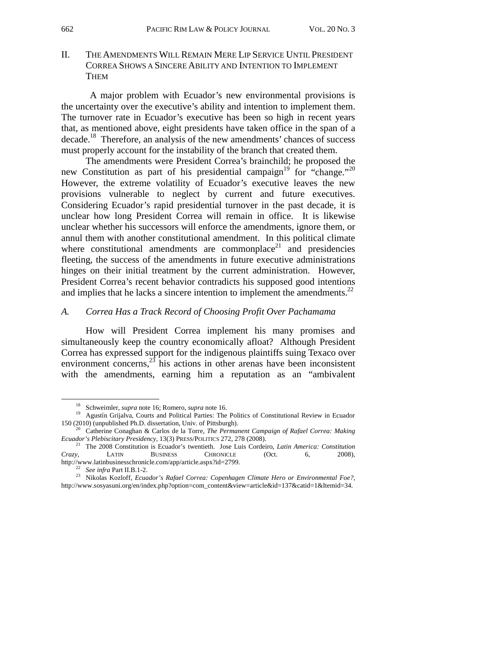II. THE AMENDMENTS WILL REMAIN MERE LIP SERVICE UNTIL PRESIDENT CORREA SHOWS A SINCERE ABILITY AND INTENTION TO IMPLEMENT **THEM** 

 A major problem with Ecuador's new environmental provisions is the uncertainty over the executive's ability and intention to implement them. The turnover rate in Ecuador's executive has been so high in recent years that, as mentioned above, eight presidents have taken office in the span of a decade.<sup>18</sup> Therefore, an analysis of the new amendments' chances of success must properly account for the instability of the branch that created them.

The amendments were President Correa's brainchild; he proposed the new Constitution as part of his presidential campaign<sup>19</sup> for "change."<sup>20</sup> However, the extreme volatility of Ecuador's executive leaves the new provisions vulnerable to neglect by current and future executives. Considering Ecuador's rapid presidential turnover in the past decade, it is unclear how long President Correa will remain in office. It is likewise unclear whether his successors will enforce the amendments, ignore them, or annul them with another constitutional amendment. In this political climate where constitutional amendments are commonplace<sup>21</sup> and presidencies fleeting, the success of the amendments in future executive administrations hinges on their initial treatment by the current administration. However, President Correa's recent behavior contradicts his supposed good intentions and implies that he lacks a sincere intention to implement the amendments.<sup>22</sup>

### *A. Correa Has a Track Record of Choosing Profit Over Pachamama*

 How will President Correa implement his many promises and simultaneously keep the country economically afloat? Although President Correa has expressed support for the indigenous plaintiffs suing Texaco over environment concerns, $^{23}$  his actions in other arenas have been inconsistent with the amendments, earning him a reputation as an "ambivalent

<sup>&</sup>lt;sup>18</sup> Schweimler, *supra* note 16; Romero, *supra* note 16.<br><sup>19</sup> Agustín Grijalva, Courts and Political Parties: The Politics of Constitutional Review in Ecuador<br>150 (2010) (unpublished Ph.D. dissertation, Univ. of Pittsbur

<sup>&</sup>lt;sup>20</sup> Catherine Conaghan & Carlos de la Torre, *The Permanent Campaign of Rafael Correa: Making* 

*Ecuador's Plebiscitary Presidency*, 13(3) PRESS/POLITICS 272, 278 (2008).<br><sup>21</sup> The 2008 Constitution is Ecuador's twentieth. Jose Luis Cordeiro, *Latin America: Constitution Crazy*, *LATIN* BUSINESS *CHRONICLE* (Oct. 6, 2 *Crazy*, LATIN BUSINESS CHRONICLE http://www.latinbusinesschronicle.com/app/article.aspx?id=2799.

http://www.latinbusinesschronicle.com/app/article.aspx?id=2799. 22 *See infra* Part II.B.1-2. 23 Nikolas Kozloff, *Ecuador's Rafael Correa: Copenhagen Climate Hero or Environmental Foe?*, http://www.sosyasuni.org/en/index.php?option=com\_content&view=article&id=137&catid=1&Itemid=34.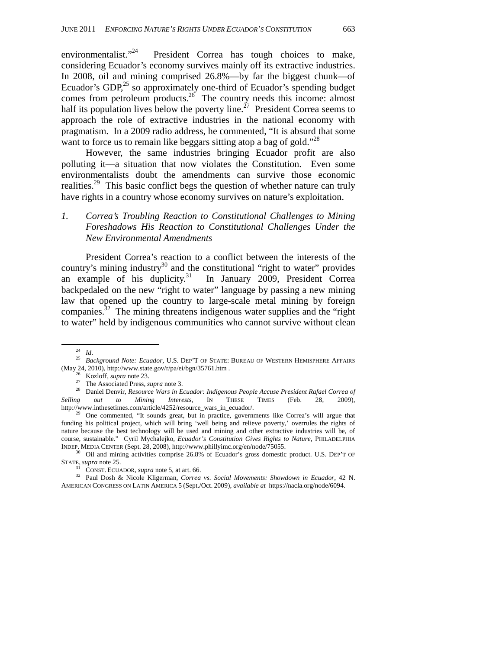environmentalist."<sup>24</sup> President Correa has tough choices to make, considering Ecuador's economy survives mainly off its extractive industries. In 2008, oil and mining comprised 26.8%—by far the biggest chunk—of Ecuador's GDP, $^{25}$  so approximately one-third of Ecuador's spending budget comes from petroleum products.<sup>26</sup> The country needs this income: almost half its population lives below the poverty line.<sup> $27$ </sup> President Correa seems to approach the role of extractive industries in the national economy with pragmatism. In a 2009 radio address, he commented, "It is absurd that some want to force us to remain like beggars sitting atop a bag of gold."<sup>28</sup>

However, the same industries bringing Ecuador profit are also polluting it—a situation that now violates the Constitution. Even some environmentalists doubt the amendments can survive those economic realities.<sup>29</sup> This basic conflict begs the question of whether nature can truly have rights in a country whose economy survives on nature's exploitation.

### *1. Correa's Troubling Reaction to Constitutional Challenges to Mining Foreshadows His Reaction to Constitutional Challenges Under the New Environmental Amendments*

 President Correa's reaction to a conflict between the interests of the country's mining industry $30$  and the constitutional "right to water" provides an example of his duplicity.<sup>31</sup> In January 2009, President Correa backpedaled on the new "right to water" language by passing a new mining law that opened up the country to large-scale metal mining by foreign companies.<sup>32</sup> The mining threatens indigenous water supplies and the "right" to water" held by indigenous communities who cannot survive without clean

<sup>&</sup>lt;sup>24</sup> *Id.* 25 *Background Note: Ecuador*, U.S. DEP'T OF STATE: BUREAU OF WESTERN HEMISPHERE AFFAIRS (May 24, 2010), http://www.state.gov/r/pa/ei/bgn/35761.htm

<sup>&</sup>lt;sup>26</sup> Kozloff, *supra* note 23.<br><sup>27</sup> The Associated Press, *supra* note 3.<br><sup>28</sup> Daniel Denvir, *Resource Wars in Ecuador: Indigenous People Accuse President Rafael Correa of Selling out to Mining Interests*, IN THESE TIMES (Feb. 28, 2009), http://www.inthesetimes.com/article/4252/resource\_wars\_in\_ecuador/.<br><sup>29</sup> One commented, "It sounds great, but in practice, governments like Correa's will argue that

funding his political project, which will bring 'well being and relieve poverty,' overrules the rights of nature because the best technology will be used and mining and other extractive industries will be, of course, sustainable." Cyril Mychalejko, *Ecuador's Constitution Gives Rights to Nature*, PHILADELPHIA<br>INDEP. MEDIA CENTER (Sept. 28, 2008), http://www.phillyimc.org/en/node/75055.

<sup>&</sup>lt;sup>30</sup> Oil and mining activities comprise 26.8% of Ecuador's gross domestic product. U.S. DEP'T OF

STATE, *supra* note 25. 31 CONST. ECUADOR, *supra* note 5, at art. 66. 32 Paul Dosh & Nicole Kligerman, *Correa vs. Social Movements: Showdown in Ecuador*, 42 N. AMERICAN CONGRESS ON LATIN AMERICA 5 (Sept./Oct. 2009), *available at* https://nacla.org/node/6094.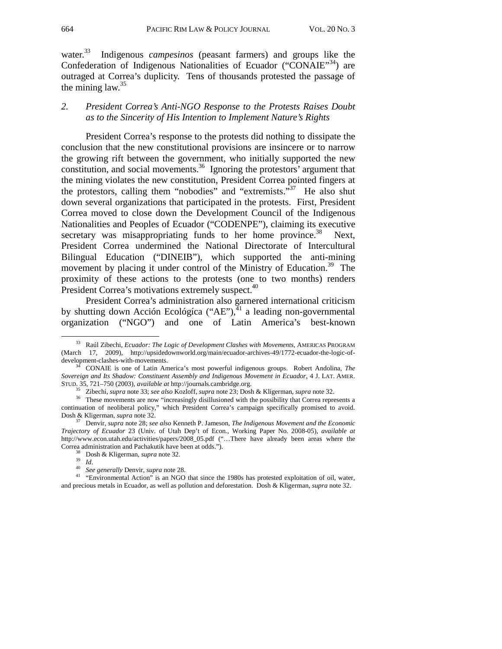water.33 Indigenous *campesinos* (peasant farmers) and groups like the Confederation of Indigenous Nationalities of Ecuador ("CONAIE"<sup>34</sup>) are outraged at Correa's duplicity. Tens of thousands protested the passage of the mining law.  $35$ 

### *2. President Correa's Anti-NGO Response to the Protests Raises Doubt as to the Sincerity of His Intention to Implement Nature's Rights*

President Correa's response to the protests did nothing to dissipate the conclusion that the new constitutional provisions are insincere or to narrow the growing rift between the government, who initially supported the new constitution, and social movements.<sup>36</sup> Ignoring the protestors' argument that the mining violates the new constitution, President Correa pointed fingers at the protestors, calling them "nobodies" and "extremists."<sup>37</sup> He also shut down several organizations that participated in the protests. First, President Correa moved to close down the Development Council of the Indigenous Nationalities and Peoples of Ecuador ("CODENPE"), claiming its executive secretary was misappropriating funds to her home province.<sup>38</sup> Next, President Correa undermined the National Directorate of Intercultural Bilingual Education ("DINEIB"), which supported the anti-mining movement by placing it under control of the Ministry of Education.<sup>39</sup> The proximity of these actions to the protests (one to two months) renders President Correa's motivations extremely suspect.<sup>40</sup>

President Correa's administration also garnered international criticism by shutting down Acción Ecológíca ("AE"), $4^{\frac{1}{4}}$  a leading non-governmental organization ("NGO") and one of Latin America's best-known

<sup>38</sup> Dosh & Kligerman, *supra* note 32.<br><sup>39</sup> *Id.*<br><sup>40</sup> See generally Denvir, *supra* note 28.<br><sup>41</sup> "Environmental Action" is an NGO that since the 1980s has protested exploitation of oil, water, and precious metals in Ecuador, as well as pollution and deforestation. Dosh & Kligerman, *supra* note 32.

 <sup>33</sup> Raúl Zibechi, *Ecuador: The Logic of Development Clashes with Movements*, AMERICAS PROGRAM (March 17, 2009), http://upsidedownworld.org/main/ecuador-archives-49/1772-ecuador-the-logic-of-

CONAIE is one of Latin America's most powerful indigenous groups. Robert Andolina, *The Sovereign and Its Shadow: Constituent Assembly and Indigenous Movement in Ecuador*, 4 J. LAT. AMER.

STUD. 35, 721–750 (2003), *available at* http://journals.cambridge.org.<br><sup>35</sup> Zibechi, *supra* note 33; *see also* Kozloff, *supra* note 23; Dosh & Kligerman, *supra* note 32.<br><sup>36</sup> These movements are now "increasingly dis continuation of neoliberal policy," which President Correa's campaign specifically promised to avoid. Dosh & Kligerman, *supra* note 32. 37 Denvir, *supra* note 28; *see also* Kenneth P. Jameson, *The Indigenous Movement and the Economic* 

*Trajectory of Ecuador* 23 (Univ. of Utah Dep't of Econ., Working Paper No. 2008-05), *available at* http://www.econ.utah.edu/activities/papers/2008\_05.pdf ("…There have already been areas where the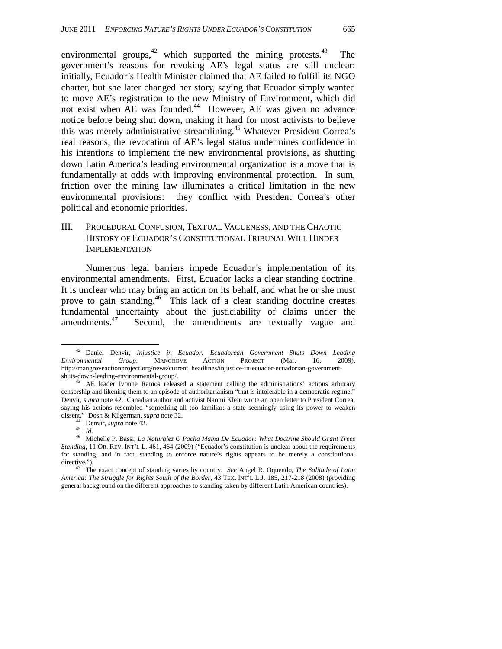environmental groups,  $42$  which supported the mining protests. The government's reasons for revoking AE's legal status are still unclear: initially, Ecuador's Health Minister claimed that AE failed to fulfill its NGO charter, but she later changed her story, saying that Ecuador simply wanted to move AE's registration to the new Ministry of Environment, which did not exist when AE was founded.<sup>44</sup> However, AE was given no advance notice before being shut down, making it hard for most activists to believe this was merely administrative streamlining.<sup>45</sup> Whatever President Correa's real reasons, the revocation of AE's legal status undermines confidence in his intentions to implement the new environmental provisions, as shutting down Latin America's leading environmental organization is a move that is fundamentally at odds with improving environmental protection. In sum, friction over the mining law illuminates a critical limitation in the new environmental provisions: they conflict with President Correa's other political and economic priorities.

### III. PROCEDURAL CONFUSION, TEXTUAL VAGUENESS, AND THE CHAOTIC HISTORY OF ECUADOR'S CONSTITUTIONAL TRIBUNAL WILL HINDER IMPLEMENTATION

Numerous legal barriers impede Ecuador's implementation of its environmental amendments. First, Ecuador lacks a clear standing doctrine. It is unclear who may bring an action on its behalf, and what he or she must prove to gain standing.<sup>46</sup> This lack of a clear standing doctrine creates fundamental uncertainty about the justiciability of claims under the amendments. $47$  Second, the amendments are textually vague and

 <sup>42</sup> Daniel Denvir, *Injustice in Ecuador: Ecuadorean Government Shuts Down Leading Environmental Group*, MANGROVE ACTION PROJECT (Mar. 16, 2009), http://mangroveactionproject.org/news/current\_headlines/injustice-in-ecuador-ecuadorian-government-

shuts-down-leading-environmental-group/.<br><sup>43</sup> AE leader Ivonne Ramos released a statement calling the administrations' actions arbitrary censorship and likening them to an episode of authoritarianism "that is intolerable in a democratic regime." Denvir, *supra* note 42. Canadian author and activist Naomi Klein wrote an open letter to President Correa, saying his actions resembled "something all too familiar: a state seemingly using its power to weaken dissent." Dosh & Kligerman, *supra* note 32.<br><sup>44</sup> Denvir, *supra* note 42.

dissent." Dosh & Kligerman, *supra* note 32. 44 Denvir, *supra* note 42. 45 *Id.* 46 Michelle P. Bassi, *La Naturalez O Pacha Mama De Ecuador: What Doctrine Should Grant Trees Standing*, 11 OR. REV. INT'L L. 461, 464 (2009) ("Ecuador's constitution is unclear about the requirements for standing, and in fact, standing to enforce nature's rights appears to be merely a constitutional

directive."). 47 The exact concept of standing varies by country. *See* Angel R. Oquendo, *The Solitude of Latin America: The Struggle for Rights South of the Border*, 43 TEX. INT'L L.J. 185, 217-218 (2008) (providing general background on the different approaches to standing taken by different Latin American countries).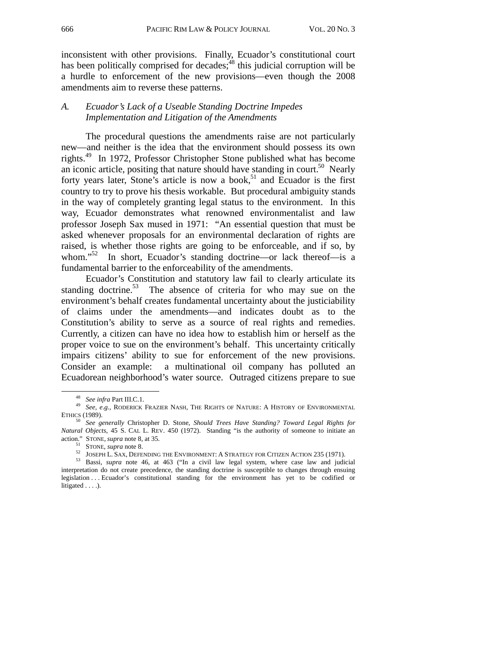inconsistent with other provisions. Finally, Ecuador's constitutional court has been politically comprised for decades; $48$  this judicial corruption will be a hurdle to enforcement of the new provisions—even though the 2008 amendments aim to reverse these patterns.

### *A. Ecuador's Lack of a Useable Standing Doctrine Impedes Implementation and Litigation of the Amendments*

 The procedural questions the amendments raise are not particularly new—and neither is the idea that the environment should possess its own rights.49 In 1972, Professor Christopher Stone published what has become an iconic article, positing that nature should have standing in court.<sup>50</sup> Nearly forty years later, Stone's article is now a book,<sup>51</sup> and Ecuador is the first country to try to prove his thesis workable. But procedural ambiguity stands in the way of completely granting legal status to the environment. In this way, Ecuador demonstrates what renowned environmentalist and law professor Joseph Sax mused in 1971: "An essential question that must be asked whenever proposals for an environmental declaration of rights are raised, is whether those rights are going to be enforceable, and if so, by whom.<sup>552</sup> In short, Ecuador's standing doctrine—or lack thereof—is a In short, Ecuador's standing doctrine—or lack thereof—is a fundamental barrier to the enforceability of the amendments.

Ecuador's Constitution and statutory law fail to clearly articulate its standing doctrine.<sup>53</sup> The absence of criteria for who may sue on the environment's behalf creates fundamental uncertainty about the justiciability of claims under the amendments—and indicates doubt as to the Constitution's ability to serve as a source of real rights and remedies. Currently, a citizen can have no idea how to establish him or herself as the proper voice to sue on the environment's behalf. This uncertainty critically impairs citizens' ability to sue for enforcement of the new provisions. Consider an example: a multinational oil company has polluted an Ecuadorean neighborhood's water source. Outraged citizens prepare to sue

<sup>48</sup> *See infra* Part III.C.1. 49 *See, e.g.,* RODERICK FRAZIER NASH, THE RIGHTS OF NATURE: <sup>A</sup> HISTORY OF ENVIRONMENTAL

<sup>&</sup>lt;sup>50</sup> *See generally Christopher D. Stone, Should Trees Have Standing? Toward Legal Rights for Natural Objects*, 45 S. CAL L. REV. 450 (1972). Standing "is the authority of someone to initiate an

action." STONE, *supra* note 8, at 35.<br>
<sup>51</sup> STONE, *supra* note 8.<br>
<sup>52</sup> JOSEPH L. SAX, DEFENDING THE ENVIRONMENT: A STRATEGY FOR CITIZEN ACTION 235 (1971).<br>
<sup>52</sup> JOSEPH L. SAX, DEFENDING THE ENVIRONMENT: A STRATEGY FOR interpretation do not create precedence, the standing doctrine is susceptible to changes through ensuing legislation . . . Ecuador's constitutional standing for the environment has yet to be codified or litigated . . . .).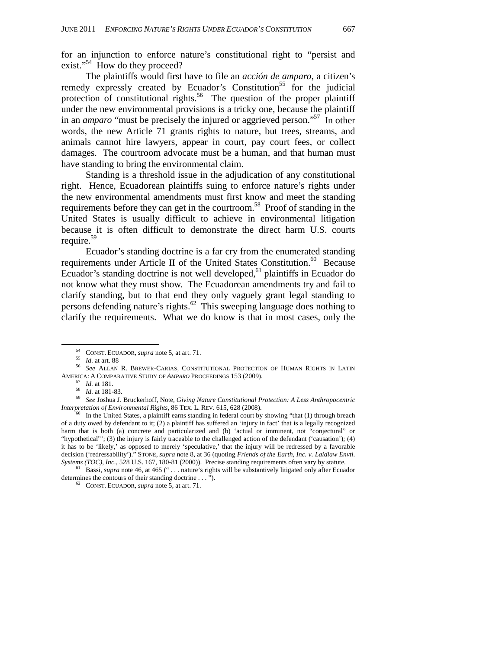for an injunction to enforce nature's constitutional right to "persist and exist."<sup>54</sup> How do they proceed?

The plaintiffs would first have to file an *acción de amparo*, a citizen's remedy expressly created by Ecuador's Constitution<sup>55</sup> for the judicial protection of constitutional rights.<sup>56</sup> The question of the proper plaintiff under the new environmental provisions is a tricky one, because the plaintiff in an *amparo* "must be precisely the injured or aggrieved person."57 In other words, the new Article 71 grants rights to nature, but trees, streams, and animals cannot hire lawyers, appear in court, pay court fees, or collect damages. The courtroom advocate must be a human, and that human must have standing to bring the environmental claim.

Standing is a threshold issue in the adjudication of any constitutional right. Hence, Ecuadorean plaintiffs suing to enforce nature's rights under the new environmental amendments must first know and meet the standing requirements before they can get in the courtroom.<sup>58</sup> Proof of standing in the United States is usually difficult to achieve in environmental litigation because it is often difficult to demonstrate the direct harm U.S. courts require.<sup>59</sup>

Ecuador's standing doctrine is a far cry from the enumerated standing requirements under Article II of the United States Constitution.<sup>60</sup> Because Ecuador's standing doctrine is not well developed, $61$  plaintiffs in Ecuador do not know what they must show. The Ecuadorean amendments try and fail to clarify standing, but to that end they only vaguely grant legal standing to persons defending nature's rights.<sup>62</sup> This sweeping language does nothing to clarify the requirements. What we do know is that in most cases, only the

 <sup>54</sup> CONST. ECUADOR, *supra* note 5, at art. 71. 55 *Id.* at art. 88 56 *See* ALLAN R. BREWER-CARIAS, CONSTITUTIONAL PROTECTION OF HUMAN RIGHTS IN LATIN

AMERICA: A COMPARATIVE STUDY OF AMPARO PROCEEDINGS 153 (2009).<br>
<sup>57</sup> Id. at 181.<br>
<sup>58</sup> Id. at 181-83.<br> *59* See Joshua J. Bruckerhoff, Note, *Giving Nature Constitutional Protection: A Less Anthropocentric Interpretation* 

In the United States, a plaintiff earns standing in federal court by showing "that (1) through breach of a duty owed by defendant to it; (2) a plaintiff has suffered an 'injury in fact' that is a legally recognized harm that is both (a) concrete and particularized and (b) 'actual or imminent, not "conjectural" or "hypothetical"'; (3) the injury is fairly traceable to the challenged action of the defendant ('causation'); (4) it has to be 'likely,' as opposed to merely 'speculative,' that the injury will be redressed by a favorable decision ('redressability')." STONE, *supra* note 8, at 36 (quoting *Friends of the Earth, Inc. v. Laidlaw Envtl.* 

Systems (TOC), Inc., 528 U.S. 167, 180-81 (2000)). Precise standing requirements often vary by statute.<br><sup>61</sup> Bassi, *supra* note 46, at 465 ("... nature's rights will be substantively litigated only after Ecuador determin

<sup>62</sup> CONST. ECUADOR, *supra* note 5, at art. 71.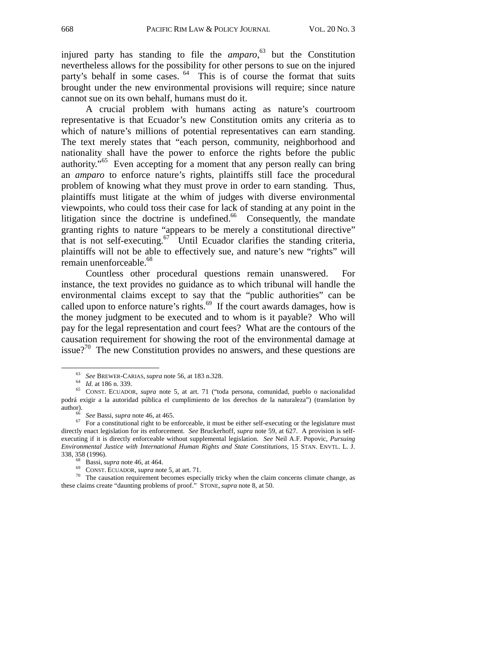injured party has standing to file the *amparo*, 63 but the Constitution nevertheless allows for the possibility for other persons to sue on the injured party's behalf in some cases. <sup>64</sup> This is of course the format that suits brought under the new environmental provisions will require; since nature cannot sue on its own behalf, humans must do it.

A crucial problem with humans acting as nature's courtroom representative is that Ecuador's new Constitution omits any criteria as to which of nature's millions of potential representatives can earn standing. The text merely states that "each person, community, neighborhood and nationality shall have the power to enforce the rights before the public authority.<sup> $165$ </sup> Even accepting for a moment that any person really can bring an *amparo* to enforce nature's rights, plaintiffs still face the procedural problem of knowing what they must prove in order to earn standing. Thus, plaintiffs must litigate at the whim of judges with diverse environmental viewpoints, who could toss their case for lack of standing at any point in the litigation since the doctrine is undefined. $66$  Consequently, the mandate granting rights to nature "appears to be merely a constitutional directive" that is not self-executing.<sup>67</sup> Until Ecuador clarifies the standing criteria, plaintiffs will not be able to effectively sue, and nature's new "rights" will remain unenforceable.<sup>68</sup>

Countless other procedural questions remain unanswered. For instance, the text provides no guidance as to which tribunal will handle the environmental claims except to say that the "public authorities" can be called upon to enforce nature's rights.<sup>69</sup> If the court awards damages, how is the money judgment to be executed and to whom is it payable? Who will pay for the legal representation and court fees? What are the contours of the causation requirement for showing the root of the environmental damage at issue?<sup>70</sup> The new Constitution provides no answers, and these questions are

<sup>63</sup> *See* BREWER-CARIAS, *supra* note 56, at 183 n.328. 64 *Id.* at 186 n. 339. 65 CONST. ECUADOR, *supra* note 5, at art. 71 ("toda persona, comunidad, pueblo o nacionalidad podrá exigir a la autoridad pública el cumplimiento de los derechos de la naturaleza") (translation by

author).<br><sup>66</sup> *See* Bassi, *supra* note 46, at 465.<br><sup>67</sup> For a constitutional right to be enforceable, it must be either self-executing or the legislature must directly enact legislation for its enforcement. *See* Bruckerhoff, *supra* note 59, at 627. A provision is selfexecuting if it is directly enforceable without supplemental legislation. *See* Neil A.F. Popovic, *Pursuing Environmental Justice with International Human Rights and State Constitutions*, 15 STAN. ENVTL. L. J.

<sup>&</sup>lt;sup>68</sup> Bassi, *supra* note 46, at 464.<br><sup>69</sup> CONST. ECUADOR, *supra* note 5, at art. 71.<br><sup>70</sup> The causation requirement becomes especially tricky when the claim concerns climate change, as these claims create "daunting problems of proof." STONE, *supra* note 8, at 50.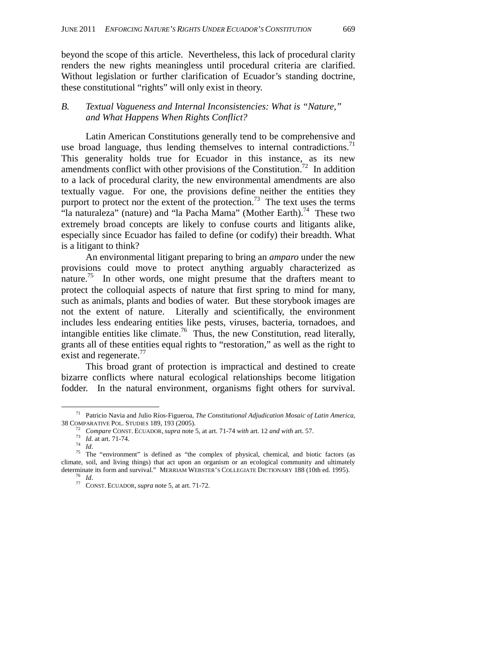beyond the scope of this article. Nevertheless, this lack of procedural clarity renders the new rights meaningless until procedural criteria are clarified. Without legislation or further clarification of Ecuador's standing doctrine, these constitutional "rights" will only exist in theory.

### *B. Textual Vagueness and Internal Inconsistencies: What is "Nature," and What Happens When Rights Conflict?*

Latin American Constitutions generally tend to be comprehensive and use broad language, thus lending themselves to internal contradictions.<sup>71</sup> This generality holds true for Ecuador in this instance, as its new amendments conflict with other provisions of the Constitution.<sup>72</sup> In addition to a lack of procedural clarity, the new environmental amendments are also textually vague. For one, the provisions define neither the entities they purport to protect nor the extent of the protection.<sup>73</sup> The text uses the terms "la naturaleza" (nature) and "la Pacha Mama" (Mother Earth).<sup>74</sup> These two extremely broad concepts are likely to confuse courts and litigants alike, especially since Ecuador has failed to define (or codify) their breadth. What is a litigant to think?

An environmental litigant preparing to bring an *amparo* under the new provisions could move to protect anything arguably characterized as nature.<sup>75</sup> In other words, one might presume that the drafters meant to protect the colloquial aspects of nature that first spring to mind for many, such as animals, plants and bodies of water. But these storybook images are not the extent of nature. Literally and scientifically, the environment includes less endearing entities like pests, viruses, bacteria, tornadoes, and intangible entities like climate.<sup>76</sup> Thus, the new Constitution, read literally, grants all of these entities equal rights to "restoration," as well as the right to exist and regenerate.<sup>77</sup>

This broad grant of protection is impractical and destined to create bizarre conflicts where natural ecological relationships become litigation fodder. In the natural environment, organisms fight others for survival.

 <sup>71</sup> Patricio Navia and Julio Ríos-Figueroa, *The Constitutional Adjudication Mosaic of Latin America,*

<sup>&</sup>lt;sup>72</sup> Compare CONST. ECUADOR, *supra* note 5, at art. 71-74 *with* art. 12 *and with* art. 57.<br><sup>73</sup> *Id.* at art. 71-74.<br><sup>74</sup> *Id.*<br>**75** The "environment" is defined as "the complex of physical, chemical, and biotic factor climate, soil, and living things) that act upon an organism or an ecological community and ultimately determinate its form and survival." MERRIAM WEBSTER'S COLLEGIATE DICTIONARY 188 (10th ed. 1995).<br><sup>76</sup> *Id.* 77 CONST. ECUADOR, *supra* note 5, at art. 71-72.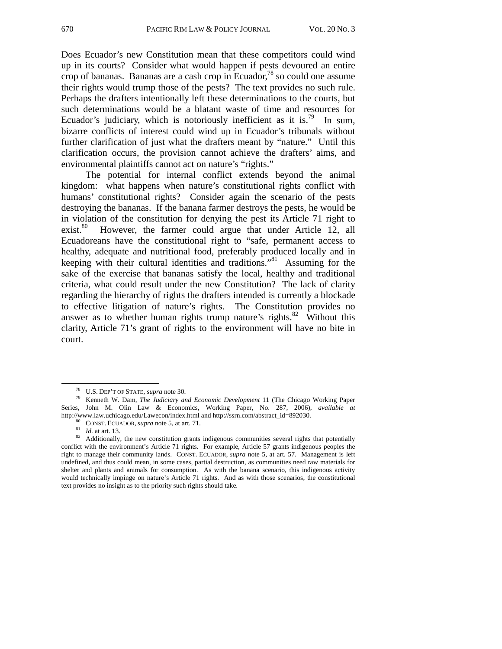Does Ecuador's new Constitution mean that these competitors could wind up in its courts? Consider what would happen if pests devoured an entire crop of bananas. Bananas are a cash crop in Ecuador, $^{78}$  so could one assume their rights would trump those of the pests? The text provides no such rule. Perhaps the drafters intentionally left these determinations to the courts, but such determinations would be a blatant waste of time and resources for Ecuador's judiciary, which is notoriously inefficient as it is.<sup>79</sup> In sum, bizarre conflicts of interest could wind up in Ecuador's tribunals without further clarification of just what the drafters meant by "nature." Until this clarification occurs, the provision cannot achieve the drafters' aims, and environmental plaintiffs cannot act on nature's "rights."

The potential for internal conflict extends beyond the animal kingdom: what happens when nature's constitutional rights conflict with humans' constitutional rights? Consider again the scenario of the pests destroying the bananas. If the banana farmer destroys the pests, he would be in violation of the constitution for denying the pest its Article 71 right to exist.<sup>80</sup> However, the farmer could argue that under Article 12, all Ecuadoreans have the constitutional right to "safe, permanent access to healthy, adequate and nutritional food, preferably produced locally and in keeping with their cultural identities and traditions."81 Assuming for the sake of the exercise that bananas satisfy the local, healthy and traditional criteria, what could result under the new Constitution? The lack of clarity regarding the hierarchy of rights the drafters intended is currently a blockade to effective litigation of nature's rights. The Constitution provides no answer as to whether human rights trump nature's rights. $82$  Without this clarity, Article 71's grant of rights to the environment will have no bite in court.

 <sup>78</sup> U.S. DEP'T OF STATE, *supra* note 30. 79 Kenneth W. Dam, *The Judiciary and Economic Development* 11 (The Chicago Working Paper Series, John M. Olin Law & Economics, Working Paper, No. 287, 2006), *available at*

http://www.law.uchicago.edu/Lawecon/index.html and http://ssrn.com/abstract\_id=892030.<br><sup>80</sup> CONST. ECUADOR, *supra* note 5, at art. 71.<br><sup>81</sup> Id. at art. 13.<br>Additionally, the new constitution grants indigenous communities conflict with the environment's Article 71 rights. For example, Article 57 grants indigenous peoples the right to manage their community lands. CONST. ECUADOR, *supra* note 5, at art. 57. Management is left undefined, and thus could mean, in some cases, partial destruction, as communities need raw materials for shelter and plants and animals for consumption. As with the banana scenario, this indigenous activity would technically impinge on nature's Article 71 rights. And as with those scenarios, the constitutional text provides no insight as to the priority such rights should take.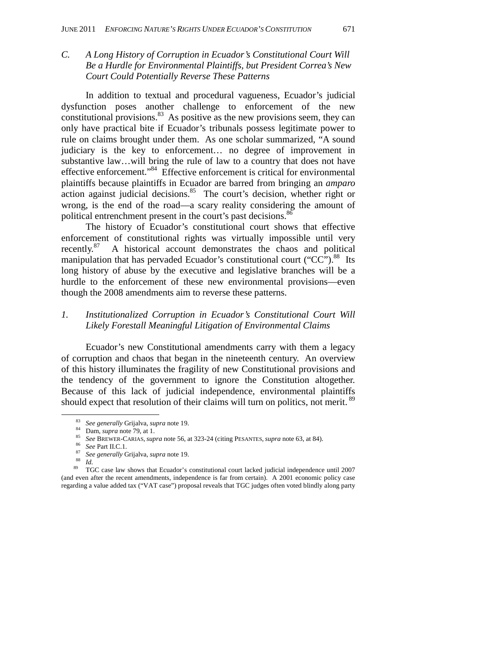*C. A Long History of Corruption in Ecuador's Constitutional Court Will Be a Hurdle for Environmental Plaintiffs, but President Correa's New Court Could Potentially Reverse These Patterns* 

In addition to textual and procedural vagueness, Ecuador's judicial dysfunction poses another challenge to enforcement of the new constitutional provisions. $83$  As positive as the new provisions seem, they can only have practical bite if Ecuador's tribunals possess legitimate power to rule on claims brought under them. As one scholar summarized, "A sound judiciary is the key to enforcement… no degree of improvement in substantive law…will bring the rule of law to a country that does not have effective enforcement."84 Effective enforcement is critical for environmental plaintiffs because plaintiffs in Ecuador are barred from bringing an *amparo* action against judicial decisions.<sup>85</sup> The court's decision, whether right or wrong, is the end of the road—a scary reality considering the amount of political entrenchment present in the court's past decisions.<sup>8</sup>

The history of Ecuador's constitutional court shows that effective enforcement of constitutional rights was virtually impossible until very recently.87 A historical account demonstrates the chaos and political manipulation that has pervaded Ecuador's constitutional court (" $CC$ ").<sup>88</sup> Its long history of abuse by the executive and legislative branches will be a hurdle to the enforcement of these new environmental provisions—even though the 2008 amendments aim to reverse these patterns.

### *1. Institutionalized Corruption in Ecuador's Constitutional Court Will Likely Forestall Meaningful Litigation of Environmental Claims*

 Ecuador's new Constitutional amendments carry with them a legacy of corruption and chaos that began in the nineteenth century. An overview of this history illuminates the fragility of new Constitutional provisions and the tendency of the government to ignore the Constitution altogether. Because of this lack of judicial independence, environmental plaintiffs should expect that resolution of their claims will turn on politics, not merit.<sup>89</sup>

<sup>&</sup>lt;sup>83</sup> See generally Grijalva, supra note 19.<br><sup>84</sup> Dam, supra note 79, at 1.<br><sup>85</sup> See BREWER-CARIAS, supra note 56, at 323-24 (citing PESANTES, supra note 63, at 84).<br><sup>86</sup> See Part II.C.1.<br><sup>87</sup> See generally Grijalva, supra (and even after the recent amendments, independence is far from certain). A 2001 economic policy case regarding a value added tax ("VAT case") proposal reveals that TGC judges often voted blindly along party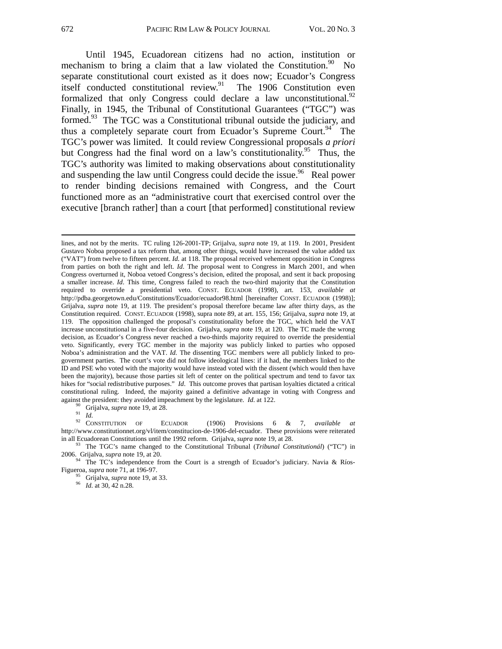Until 1945, Ecuadorean citizens had no action, institution or mechanism to bring a claim that a law violated the Constitution. $90\degree$  No separate constitutional court existed as it does now; Ecuador's Congress itself conducted constitutional review.<sup>91</sup> The 1906 Constitution even formalized that only Congress could declare a law unconstitutional. $92$ Finally, in 1945, the Tribunal of Constitutional Guarantees ("TGC") was formed.<sup>93</sup> The TGC was a Constitutional tribunal outside the judiciary, and thus a completely separate court from Ecuador's Supreme Court.<sup>94</sup> The TGC's power was limited. It could review Congressional proposals *a priori* but Congress had the final word on a law's constitutionality.<sup>95</sup> Thus, the TGC's authority was limited to making observations about constitutionality and suspending the law until Congress could decide the issue.<sup>96</sup> Real power to render binding decisions remained with Congress, and the Court functioned more as an "administrative court that exercised control over the executive [branch rather] than a court [that performed] constitutional review

against the president: they avoided impeachment by the legislature. *Id.* at 122.<br><sup>90</sup> Grijalva, *supra* note 19, at 28.<br><sup>92</sup> CONSTITUTION OF ECUADOR (1906) Provisions 6 & 7, *available at* http://www.constitutionnet.org/vl/item/constitucion-de-1906-del-ecuador. These provisions were reiterated in all Ecuadorean Constitutions until the 1992 reform. Grijalva, *supra* note 19, at 28.<br><sup>93</sup> The TGC's name changed to the Constitutional Tribunal (*Tribunal Constitutionál*) ("TC") in

2006. Grijalva, *supra* note 19, at 20.<br><sup>94</sup> The TC's independence from the Court is a strength of Ecuador's judiciary. Navia & Ríos-<br>Figueroa, *supra* note 71, at 196-97.

<sup>95</sup> Grijalva, *supra* note 19, at 33. *Id.* at 30, 42 n.28.

l

lines, and not by the merits. TC ruling 126-2001-TP; Grijalva, *supra* note 19, at 119. In 2001, President Gustavo Noboa proposed a tax reform that, among other things, would have increased the value added tax ("VAT") from twelve to fifteen percent. *Id.* at 118. The proposal received vehement opposition in Congress from parties on both the right and left. *Id*. The proposal went to Congress in March 2001, and when Congress overturned it, Noboa vetoed Congress's decision, edited the proposal, and sent it back proposing a smaller increase. *Id*. This time, Congress failed to reach the two-third majority that the Constitution required to override a presidential veto. CONST. ECUADOR (1998), art. 153, *available at*  http://pdba.georgetown.edu/Constitutions/Ecuador/ecuador98.html [hereinafter CONST. ECUADOR (1998)]; Grijalva, *supra* note 19, at 119. The president's proposal therefore became law after thirty days, as the Constitution required. CONST. ECUADOR (1998), supra note 89, at art. 155, 156; Grijalva, *supra* note 19, at 119. The opposition challenged the proposal's constitutionality before the TGC, which held the VAT increase unconstitutional in a five-four decision. Grijalva, *supra* note 19, at 120. The TC made the wrong decision, as Ecuador's Congress never reached a two-thirds majority required to override the presidential veto. Significantly, every TGC member in the majority was publicly linked to parties who opposed Noboa's administration and the VAT. *Id.* The dissenting TGC members were all publicly linked to progovernment parties. The court's vote did not follow ideological lines: if it had, the members linked to the ID and PSE who voted with the majority would have instead voted with the dissent (which would then have been the majority), because those parties sit left of center on the political spectrum and tend to favor tax hikes for "social redistributive purposes." *Id*. This outcome proves that partisan loyalties dictated a critical constitutional ruling. Indeed, the majority gained a definitive advantage in voting with Congress and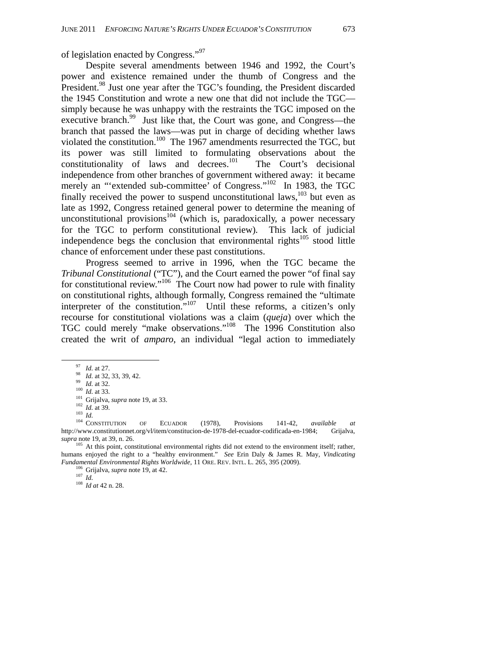of legislation enacted by Congress."<sup>97</sup>

Despite several amendments between 1946 and 1992, the Court's power and existence remained under the thumb of Congress and the President.<sup>98</sup> Just one year after the TGC's founding, the President discarded the 1945 Constitution and wrote a new one that did not include the TGC simply because he was unhappy with the restraints the TGC imposed on the executive branch.<sup>99</sup> Just like that, the Court was gone, and Congress—the branch that passed the laws—was put in charge of deciding whether laws violated the constitution.<sup>100</sup> The 1967 amendments resurrected the TGC, but its power was still limited to formulating observations about the constitutionality of laws and decrees.<sup>101</sup> The Court's decisional independence from other branches of government withered away: it became merely an "'extended sub-committee' of Congress."<sup>102</sup> In 1983, the TGC finally received the power to suspend unconstitutional laws, $103$  but even as late as 1992, Congress retained general power to determine the meaning of unconstitutional provisions<sup>104</sup> (which is, paradoxically, a power necessary for the TGC to perform constitutional review). This lack of judicial independence begs the conclusion that environmental rights $105$  stood little chance of enforcement under these past constitutions.

Progress seemed to arrive in 1996, when the TGC became the *Tribunal Constitutional* ("TC"), and the Court earned the power "of final say for constitutional review."<sup>106</sup> The Court now had power to rule with finality on constitutional rights, although formally, Congress remained the "ultimate interpreter of the constitution."107 Until these reforms, a citizen's only recourse for constitutional violations was a claim (*queja*) over which the TGC could merely "make observations."108 The 1996 Constitution also created the writ of *amparo*, an individual "legal action to immediately

<sup>105</sup> At this point, constitutional environmental rights did not extend to the environment itself; rather, humans enjoyed the right to a "healthy environment." *See* Erin Daly & James R. May, *Vindicating Fundamental Environmental Rights Worldwide,* 11 ORE. REV. INTL. L. 265, 395 (2009). 106 Grijalva, *supra* note 19, at 42. 107 *Id.* <sup>108</sup> *Id at* 42 n. 28.

<sup>&</sup>lt;sup>97</sup> *Id.* at 27.<br><sup>98</sup> *Id.* at 32, 33, 39, 42.<br><sup>99</sup> *Id.* at 32.<br><sup>100</sup> *Id.* at 33.<br><sup>101</sup> Grijalva, *supra* note 19, at 33.<br><sup>102</sup> *Id.* at 39.<br><sup>102</sup> *Id.* at 39.<br><sup>103</sup> *Id.*<br><sup>104</sup> CONSTITUTION OF ECUADOR (1978), Provisio <sup>104</sup> CONSTITUTION OF ECUADOR (1978), Provisions 141-42, *available at* http://www.constitutionnet.org/vl/item/constitucion-de-1978-del-ecuador-codificada-en-1984; Grijalva, *supra* note 19, at 39, n. 26.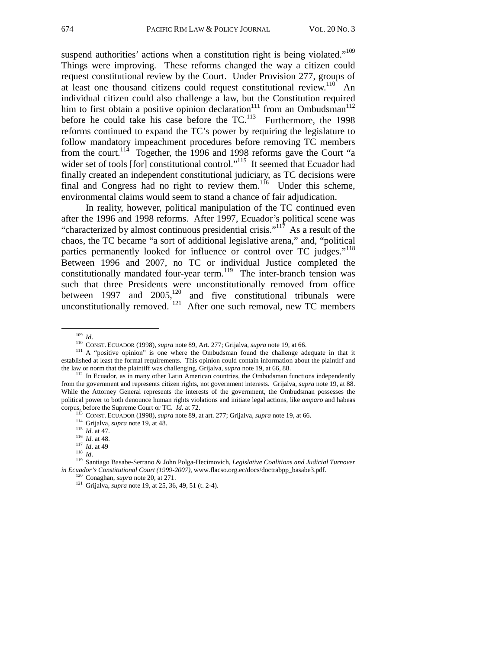suspend authorities' actions when a constitution right is being violated."<sup>109</sup> Things were improving. These reforms changed the way a citizen could request constitutional review by the Court. Under Provision 277, groups of at least one thousand citizens could request constitutional review.<sup>110</sup> An individual citizen could also challenge a law, but the Constitution required him to first obtain a positive opinion declaration<sup>111</sup> from an Ombudsman<sup>112</sup> before he could take his case before the  $TC<sup>113</sup>$  Furthermore, the 1998 reforms continued to expand the TC's power by requiring the legislature to follow mandatory impeachment procedures before removing TC members from the court.<sup>114</sup> Together, the 1996 and 1998 reforms gave the Court "a wider set of tools [for] constitutional control."<sup>115</sup> It seemed that Ecuador had finally created an independent constitutional judiciary, as TC decisions were final and Congress had no right to review them.<sup>116</sup> Under this scheme, environmental claims would seem to stand a chance of fair adjudication.

In reality, however, political manipulation of the TC continued even after the 1996 and 1998 reforms. After 1997, Ecuador's political scene was "characterized by almost continuous presidential crisis."<sup>117</sup> As a result of the chaos, the TC became "a sort of additional legislative arena," and, "political parties permanently looked for influence or control over TC judges."<sup>118</sup> Between 1996 and 2007, no TC or individual Justice completed the constitutionally mandated four-year term.<sup>119</sup> The inter-branch tension was such that three Presidents were unconstitutionally removed from office between  $1997$  and  $2005$ ,<sup>120</sup> and five constitutional tribunals were unconstitutionally removed.  $121$  After one such removal, new TC members

<sup>&</sup>lt;sup>110</sup> *Id.* (2008). 110 CONST. ECUADOR (1998), *supra* note 89, Art. 277; Grijalva, *supra* note 19, at 66. <sup>111</sup> A "positive opinion" is one where the Ombudsman found the challenge adequate in that it established at least the formal requirements. This opinion could contain information about the plaintiff and the law or norm that the plaintiff was challenging. Grijalva, *supra* note 19, at 66, 88.

<sup>&</sup>lt;sup>112</sup> In Ecuador, as in many other Latin American countries, the Ombudsman functions independently from the government and represents citizen rights, not government interests. Grijalva, *supra* note 19, at 88. While the Attorney General represents the interests of the government, the Ombudsman possesses the political power to both denounce human rights violations and initiate legal actions, like *amparo* and habeas

corpus, before the Supreme Court or TC. *Id.* at 72.<br>
<sup>113</sup> CONST. ECUADOR (1998), *supra* note 89, at art. 277; Grijalva, *supra* note 19, at 66.<br>
<sup>114</sup> Grijalva, *supra* note 19, at 48.<br>
<sup>115</sup> *Id.* at 47.<br>
<sup>116</sup> *Id. in Ecuador's Constitutional Court (1999-2007),* www.flacso.org.ec/docs/doctrabpp\_basabe3.pdf. <sup>120</sup> Conaghan, *supra* note 20, at 271. <sup>121</sup> Grijalva, *supra* note 19, at 25, 36, 49, 51 (t. 2-4).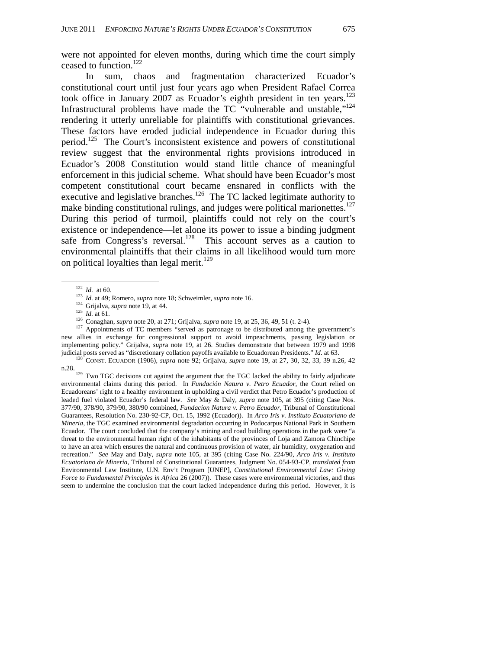were not appointed for eleven months, during which time the court simply ceased to function.<sup>122</sup>

In sum, chaos and fragmentation characterized Ecuador's constitutional court until just four years ago when President Rafael Correa took office in January 2007 as Ecuador's eighth president in ten years.<sup>123</sup> Infrastructural problems have made the TC "vulnerable and unstable,"124 rendering it utterly unreliable for plaintiffs with constitutional grievances. These factors have eroded judicial independence in Ecuador during this period.125 The Court's inconsistent existence and powers of constitutional review suggest that the environmental rights provisions introduced in Ecuador's 2008 Constitution would stand little chance of meaningful enforcement in this judicial scheme. What should have been Ecuador's most competent constitutional court became ensnared in conflicts with the executive and legislative branches.<sup>126</sup> The TC lacked legitimate authority to make binding constitutional rulings, and judges were political marionettes.<sup>127</sup> During this period of turmoil, plaintiffs could not rely on the court's existence or independence—let alone its power to issue a binding judgment safe from Congress's reversal.<sup>128</sup> This account serves as a caution to environmental plaintiffs that their claims in all likelihood would turn more on political loyalties than legal merit.<sup>129</sup>

<sup>122</sup> *Id.* at 60.<br>
<sup>123</sup> *Id.* at 49; Romero, *supra* note 18; Schweimler, *supra* note 16.<br>
<sup>124</sup> Grijalva, *supra* note 19, at 44.<br>
<sup>125</sup> *Id.* at 61.<br>
<sup>126</sup> Conaghan, *supra* note 20, at 271; Grijalva, *supra* note 19 new allies in exchange for congressional support to avoid impeachments, passing legislation or implementing policy." Grijalva, *supr*a note 19, at 26. Studies demonstrate that between 1979 and 1998 judicial posts served as "discretionary collation payoffs available to Ecuadorean Presidents." *Id*. at 63. 128 CONST. ECUADOR (1906), *supra* note 92; Grijalva, *supra* note 19, at 27, 30, 32, 33, 39 n.26, 42

n.28.<br><sup>129</sup> Two TGC decisions cut against the argument that the TGC lacked the ability to fairly adjudicate environmental claims during this period. In *Fundación Natura v. Petro Ecuador*, the Court relied on Ecuadoreans' right to a healthy environment in upholding a civil verdict that Petro Ecuador's production of leaded fuel violated Ecuador's federal law. *See* May & Daly, *supra* note 105, at 395 (citing Case Nos. 377/90, 378/90, 379/90, 380/90 combined, *Fundacion Natura v. Petro Ecuador*, Tribunal of Constitutional Guarantees, Resolution No. 230-92-CP, Oct. 15, 1992 (Ecuador)). In *Arco Iris v. Instituto Ecuatoriano de Mineria*, the TGC examined environmental degradation occurring in Podocarpus National Park in Southern Ecuador. The court concluded that the company's mining and road building operations in the park were "a threat to the environmental human right of the inhabitants of the provinces of Loja and Zamora Chinchipe to have an area which ensures the natural and continuous provision of water, air humidity, oxygenation and recreation." *See* May and Daly, *supra* note 105, at 395 (citing Case No. 224/90, *Arco Iris v. Instituto Ecuatoriano de Mineria*, Tribunal of Constitutional Guarantees, Judgment No. 054-93-CP, *translated from*  Environmental Law Institute, U.N. Env't Program [UNEP], *Constitutional Environmental Law: Giving Force to Fundamental Principles in Africa* 26 (2007)). These cases were environmental victories, and thus seem to undermine the conclusion that the court lacked independence during this period. However, it is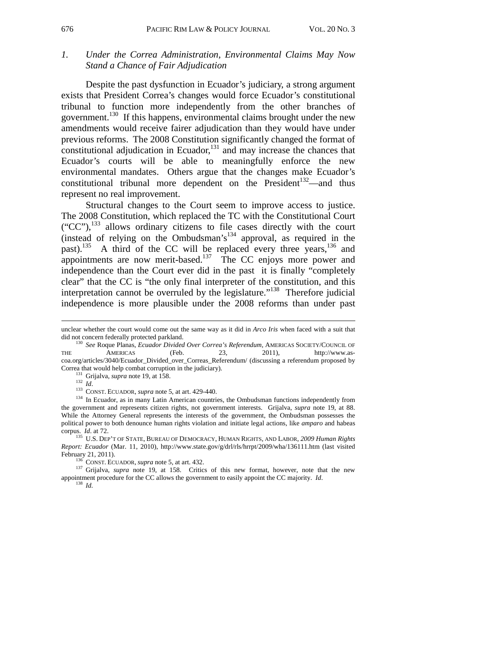### *1. Under the Correa Administration, Environmental Claims May Now Stand a Chance of Fair Adjudication*

 Despite the past dysfunction in Ecuador's judiciary, a strong argument exists that President Correa's changes would force Ecuador's constitutional tribunal to function more independently from the other branches of government.130 If this happens, environmental claims brought under the new amendments would receive fairer adjudication than they would have under previous reforms. The 2008 Constitution significantly changed the format of constitutional adjudication in Ecuador, $131$  and may increase the chances that Ecuador's courts will be able to meaningfully enforce the new environmental mandates. Others argue that the changes make Ecuador's constitutional tribunal more dependent on the President<sup>132</sup>—and thus represent no real improvement.

Structural changes to the Court seem to improve access to justice. The 2008 Constitution, which replaced the TC with the Constitutional Court  $({}^{\circ}CC^{\prime\prime})$ ,<sup>133</sup> allows ordinary citizens to file cases directly with the court (instead of relying on the Ombudsman's $134$  approval, as required in the past).<sup>135</sup> A third of the CC will be replaced every three years,<sup>136</sup> and appointments are now merit-based.<sup>137</sup> The CC enjoys more power and independence than the Court ever did in the past it is finally "completely clear" that the CC is "the only final interpreter of the constitution, and this interpretation cannot be overruled by the legislature."138 Therefore judicial independence is more plausible under the 2008 reforms than under past

l

unclear whether the court would come out the same way as it did in *Arco Iris* when faced with a suit that did not concern federally protected parkland.

<sup>&</sup>lt;sup>130</sup> See Roque Planas, *Ecuador Divided Over Correa's Referendum*, AMERICAS SOCIETY/COUNCIL OF THE AMERICAS (Feb. 23, 2011), http://www.ascoa.org/articles/3040/Ecuador\_Divided\_over\_Correas\_Referendum/ (discussing a referendum proposed by

<sup>&</sup>lt;sup>131</sup> Grijalva, *supra* note 19, at 158.<br><sup>132</sup> *Id.*<br><sup>133</sup> CONST. ECUADOR, *supra* note 5, at art. 429-440.<br><sup>134</sup> In Ecuador, as in many Latin American countries, the Ombudsman functions independently from the government and represents citizen rights, not government interests. Grijalva, *supra* note 19, at 88. While the Attorney General represents the interests of the government, the Ombudsman possesses the political power to both denounce human rights violation and initiate legal actions, like *amparo* and habeas

<sup>&</sup>lt;sup>135</sup> U.S. DEP'T OF STATE, BUREAU OF DEMOCRACY, HUMAN RIGHTS, AND LABOR, 2009 Human Rights *Report: Ecuador* (Mar. 11, 2010), http://www.state.gov/g/drl/rls/hrrpt/2009/wha/136111.htm (last visited

<sup>&</sup>lt;sup>136</sup> CONST. ECUADOR, *supra* note 5, at art. 432.<br><sup>137</sup> Grijalva, *supra* note 19, at 158. Critics of this new format, however, note that the new appointment procedure for the CC allows the government to easily appoint the CC majority. *Id*. 138 *Id.*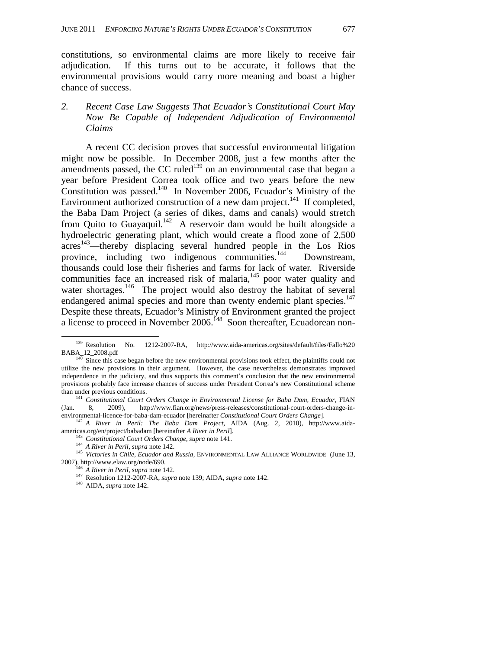constitutions, so environmental claims are more likely to receive fair adjudication. If this turns out to be accurate, it follows that the environmental provisions would carry more meaning and boast a higher chance of success.

### *2. Recent Case Law Suggests That Ecuador's Constitutional Court May Now Be Capable of Independent Adjudication of Environmental Claims*

A recent CC decision proves that successful environmental litigation might now be possible. In December 2008, just a few months after the amendments passed, the CC ruled<sup>139</sup> on an environmental case that began a year before President Correa took office and two years before the new  $\overline{\text{Constant}}$  In November 2006, Ecuador's Ministry of the Environment authorized construction of a new dam project.<sup>141</sup> If completed, the Baba Dam Project (a series of dikes, dams and canals) would stretch from Quito to Guayaquil.<sup>142</sup> A reservoir dam would be built alongside a hydroelectric generating plant, which would create a flood zone of 2,500  $\arccos^{143}$ —thereby displacing several hundred people in the Los Rios province, including two indigenous communities.<sup>144</sup> Downstream, thousands could lose their fisheries and farms for lack of water. Riverside communities face an increased risk of malaria,<sup>145</sup> poor water quality and water shortages.<sup>146</sup> The project would also destroy the habitat of several endangered animal species and more than twenty endemic plant species.<sup>147</sup> Despite these threats, Ecuador's Ministry of Environment granted the project a license to proceed in November 2006.<sup>148</sup> Soon thereafter, Ecuadorean non-

 <sup>139</sup> Resolution No. 1212-2007-RA, http://www.aida-americas.org/sites/default/files/Fallo%20 BABA\_12\_2008.pdf 140 Since this case began before the new environmental provisions took effect, the plaintiffs could not

utilize the new provisions in their argument. However, the case nevertheless demonstrates improved independence in the judiciary, and thus supports this comment's conclusion that the new environmental provisions probably face increase chances of success under President Correa's new Constitutional scheme

than under the unit of the previous conditions conditions conditions. 141 *Constitutional Court Orders Change-in-*<br>8, 2009), http://www.fian.org/news/press-releases/constitutional-court-orders-change-in-(Jan. 8, 2009), http://www.fian.org/news/press-releases/constitutional-court-orders-change-in-<br>environmental-licence-for-baba-dam-ecuador [hereinafter *Constitutional Court Orders Change*].

<sup>&</sup>lt;sup>142</sup> A River in Peril: The Baba Dam Project, AIDA (Aug. 2, 2010), http://www.aidaamericas.org/en/project/babadam [hereinafter *A River in Peril*].<br>
<sup>143</sup> Constitutional Court Orders Change, supra note 141.<br>
<sup>144</sup> *A River in Peril, supra* note 142.<br>
<sup>145</sup> Victories in Chile, Ecuador and Russia, ENVIRON

<sup>2007),</sup> http://www.elaw.org/node/690. 146 *A River in Peril*, *supra* note 142. 147 Resolution 1212-2007-RA, *supra* note 139; AIDA, *supra* note 142. 148 AIDA, *supra* note 142.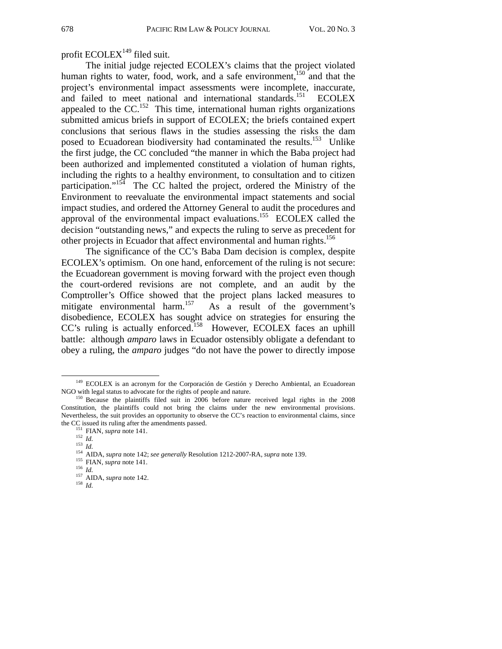### profit  $ECOLEX<sup>149</sup>$  filed suit.

The initial judge rejected ECOLEX's claims that the project violated human rights to water, food, work, and a safe environment,<sup>150</sup> and that the project's environmental impact assessments were incomplete, inaccurate, and failed to meet national and international standards.<sup>151</sup> ECOLEX appealed to the  $CC$ <sup>152</sup>. This time, international human rights organizations submitted amicus briefs in support of ECOLEX; the briefs contained expert conclusions that serious flaws in the studies assessing the risks the dam posed to Ecuadorean biodiversity had contaminated the results.<sup>153</sup> Unlike the first judge, the CC concluded "the manner in which the Baba project had been authorized and implemented constituted a violation of human rights, including the rights to a healthy environment, to consultation and to citizen participation."<sup>154</sup> The CC halted the project, ordered the Ministry of the Environment to reevaluate the environmental impact statements and social impact studies, and ordered the Attorney General to audit the procedures and approval of the environmental impact evaluations.155 ECOLEX called the decision "outstanding news," and expects the ruling to serve as precedent for other projects in Ecuador that affect environmental and human rights.<sup>156</sup>

The significance of the CC's Baba Dam decision is complex, despite ECOLEX's optimism. On one hand, enforcement of the ruling is not secure: the Ecuadorean government is moving forward with the project even though the court-ordered revisions are not complete, and an audit by the Comptroller's Office showed that the project plans lacked measures to mitigate environmental harm.<sup>157</sup> As a result of the government's disobedience, ECOLEX has sought advice on strategies for ensuring the CC's ruling is actually enforced.<sup>158</sup> However, ECOLEX faces an uphill battle: although *amparo* laws in Ecuador ostensibly obligate a defendant to obey a ruling, the *amparo* judges "do not have the power to directly impose

 $149$  ECOLEX is an acronym for the Corporación de Gestión y Derecho Ambiental, an Ecuadorean NGO with legal status to advocate for the rights of people and nature.

 $150$  Because the plaintiffs filed suit in 2006 before nature received legal rights in the 2008 Constitution, the plaintiffs could not bring the claims under the new environmental provisions. Nevertheless, the suit provides an opportunity to observe the CC's reaction to environmental claims, since the CC issued its ruling after the amendments passed.<br>
<sup>151</sup> FIAN, *supra* note 141.<br>
<sup>152</sup> Id.<br>
<sup>153</sup> Id.<br>
<sup>154</sup> AIDA, *supra* note 142; *see generally* Resolution 1212-2007-RA, *supra* note 139.<br>
<sup>155</sup> FIAN, *supra* not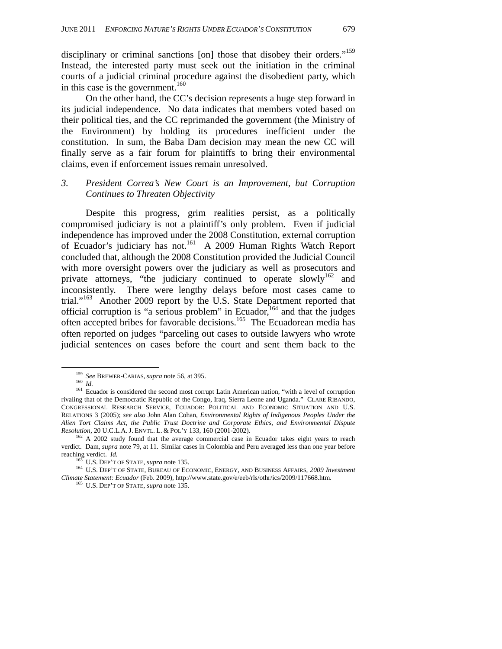disciplinary or criminal sanctions [on] those that disobey their orders."<sup>159</sup> Instead, the interested party must seek out the initiation in the criminal courts of a judicial criminal procedure against the disobedient party, which in this case is the government.<sup>160</sup>

On the other hand, the CC's decision represents a huge step forward in its judicial independence. No data indicates that members voted based on their political ties, and the CC reprimanded the government (the Ministry of the Environment) by holding its procedures inefficient under the constitution. In sum, the Baba Dam decision may mean the new CC will finally serve as a fair forum for plaintiffs to bring their environmental claims, even if enforcement issues remain unresolved.

### *3. President Correa's New Court is an Improvement, but Corruption Continues to Threaten Objectivity*

Despite this progress, grim realities persist, as a politically compromised judiciary is not a plaintiff's only problem. Even if judicial independence has improved under the 2008 Constitution, external corruption of Ecuador's judiciary has not.<sup>161</sup> A 2009 Human Rights Watch Report concluded that, although the 2008 Constitution provided the Judicial Council with more oversight powers over the judiciary as well as prosecutors and private attorneys, "the judiciary continued to operate slowly<sup>162</sup> and inconsistently. There were lengthy delays before most cases came to trial."163 Another 2009 report by the U.S. State Department reported that official corruption is "a serious problem" in Ecuador,  $164$  and that the judges often accepted bribes for favorable decisions.165 The Ecuadorean media has often reported on judges "parceling out cases to outside lawyers who wrote judicial sentences on cases before the court and sent them back to the

<sup>&</sup>lt;sup>159</sup> *See* BREWER-CARIAS, *supra* note 56, at 395.<br><sup>160</sup> *Id.* **161** Ecuador is considered the second most corrupt Latin American nation, "with a level of corruption rivaling that of the Democratic Republic of the Congo, Iraq, Sierra Leone and Uganda." CLARE RIBANDO, CONGRESSIONAL RESEARCH SERVICE, ECUADOR: POLITICAL AND ECONOMIC SITUATION AND U.S. RELATIONS 3 (2005); *see also* John Alan Cohan, *Environmental Rights of Indigenous Peoples Under the Alien Tort Claims Act, the Public Trust Doctrine and Corporate Ethics, and Environmental Dispute* 

*Resolution,* 20 U.C.L.A. J. ENVTL. L. & POL'Y 133, 160 (2001-2002).<br><sup>162</sup> A 2002 study found that the average commercial case in Ecuador takes eight years to reach verdict. Dam, *supra* note 79, at 11. Similar cases in Colombia and Peru averaged less than one year before

<sup>&</sup>lt;sup>163</sup> U.S. DEP'T OF STATE, *supra* note 135.<br><sup>164</sup> U.S. DEP'T OF STATE, BUREAU OF ECONOMIC, ENERGY, AND BUSINESS AFFAIRS, 2009 *Investment Climate Statement: Ecuador* (Feb. 2009), http://www.state.gov/e/eeb/rls/othr/ics/2009/117668.htm. 165 U.S. DEP'T OF STATE, *supra* note 135.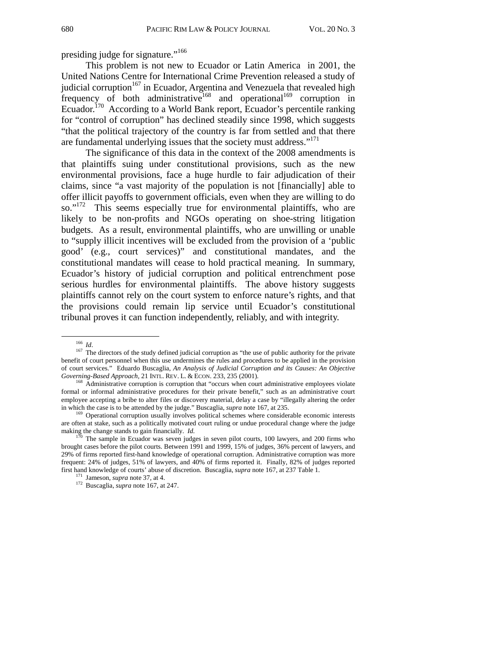presiding judge for signature."<sup>166</sup>

This problem is not new to Ecuador or Latin America in 2001, the United Nations Centre for International Crime Prevention released a study of judicial corruption<sup>167</sup> in Ecuador, Argentina and Venezuela that revealed high frequency of both administrative<sup>168</sup> and operational<sup>169</sup> corruption in Ecuador.170 According to a World Bank report, Ecuador's percentile ranking for "control of corruption" has declined steadily since 1998, which suggests "that the political trajectory of the country is far from settled and that there are fundamental underlying issues that the society must address."<sup>171</sup>

The significance of this data in the context of the 2008 amendments is that plaintiffs suing under constitutional provisions, such as the new environmental provisions, face a huge hurdle to fair adjudication of their claims, since "a vast majority of the population is not [financially] able to offer illicit payoffs to government officials, even when they are willing to do so."<sup>172</sup> This seems especially true for environmental plaintiffs, who are likely to be non-profits and NGOs operating on shoe-string litigation budgets. As a result, environmental plaintiffs, who are unwilling or unable to "supply illicit incentives will be excluded from the provision of a 'public good' (e.g., court services)" and constitutional mandates, and the constitutional mandates will cease to hold practical meaning. In summary, Ecuador's history of judicial corruption and political entrenchment pose serious hurdles for environmental plaintiffs. The above history suggests plaintiffs cannot rely on the court system to enforce nature's rights, and that the provisions could remain lip service until Ecuador's constitutional tribunal proves it can function independently, reliably, and with integrity.

<sup>&</sup>lt;sup>166</sup> *Id*. <sup>167</sup> The directors of the study defined judicial corruption as "the use of public authority for the private benefit of court personnel when this use undermines the rules and procedures to be applied in the provision of court services." Eduardo Buscaglia, *An Analysis of Judicial Corruption and its Causes: An Objective Governing-Based Approach,* 21 INTL. REV. L. & ECON. 233, 235 (2001). <sup>168</sup> Administrative corruption is corruption that "occurs when court administrative employees violate

formal or informal administrative procedures for their private benefit," such as an administrative court employee accepting a bribe to alter files or discovery material, delay a case by "illegally altering the order in which the case is to be attended by the judge." Buscaglia, *supra* note 167, at 235.<br><sup>169</sup> Operational corruption usually involves political schemes where considerable economic interests

are often at stake, such as a politically motivated court ruling or undue procedural change where the judge making the change stands to gain financially. *Id.* 170 The sample in Ecuador was seven judges in seven pilot courts, 100 lawyers, and 200 firms who

brought cases before the pilot courts. Between 1991 and 1999, 15% of judges, 36% percent of lawyers, and 29% of firms reported first-hand knowledge of operational corruption. Administrative corruption was more frequent: 24% of judges, 51% of lawyers, and 40% of firms reported it. Finally, 82% of judges reported first hand knowledge of courts' abuse of discretion. Buscaglia, *supra* note 167, at 237 Table 1. 171 Jameson, *supra* note 37, at 4. 172 Buscaglia, *supra* note 167, at 247.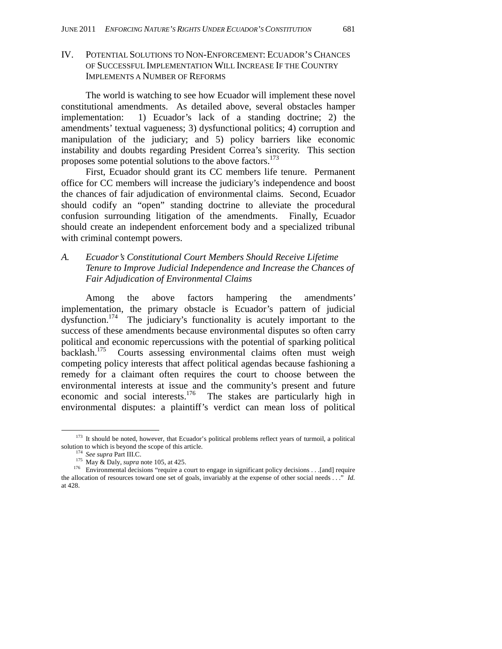IV. POTENTIAL SOLUTIONS TO NON-ENFORCEMENT: ECUADOR'S CHANCES OF SUCCESSFUL IMPLEMENTATION WILL INCREASE IF THE COUNTRY IMPLEMENTS A NUMBER OF REFORMS

The world is watching to see how Ecuador will implement these novel constitutional amendments. As detailed above, several obstacles hamper implementation: 1) Ecuador's lack of a standing doctrine; 2) the amendments' textual vagueness; 3) dysfunctional politics; 4) corruption and manipulation of the judiciary; and 5) policy barriers like economic instability and doubts regarding President Correa's sincerity. This section proposes some potential solutions to the above factors.<sup>173</sup>

First, Ecuador should grant its CC members life tenure. Permanent office for CC members will increase the judiciary's independence and boost the chances of fair adjudication of environmental claims. Second, Ecuador should codify an "open" standing doctrine to alleviate the procedural confusion surrounding litigation of the amendments. Finally, Ecuador should create an independent enforcement body and a specialized tribunal with criminal contempt powers.

### *A. Ecuador's Constitutional Court Members Should Receive Lifetime Tenure to Improve Judicial Independence and Increase the Chances of Fair Adjudication of Environmental Claims*

Among the above factors hampering the amendments' implementation, the primary obstacle is Ecuador's pattern of judicial dysfunction.174 The judiciary's functionality is acutely important to the success of these amendments because environmental disputes so often carry political and economic repercussions with the potential of sparking political backlash.<sup>175</sup> Courts assessing environmental claims often must weigh Courts assessing environmental claims often must weigh competing policy interests that affect political agendas because fashioning a remedy for a claimant often requires the court to choose between the environmental interests at issue and the community's present and future economic and social interests.<sup>176</sup> The stakes are particularly high in environmental disputes: a plaintiff's verdict can mean loss of political

<sup>&</sup>lt;sup>173</sup> It should be noted, however, that Ecuador's political problems reflect years of turmoil, a political solution to which is beyond the scope of this article.<br><sup>174</sup> *See supra* Part III.C.

<sup>&</sup>lt;sup>175</sup> May & Daly, *supra* note 105, at 425.<br><sup>176</sup> Environmental decisions "require a court to engage in significant policy decisions . . . [and] require the allocation of resources toward one set of goals, invariably at the expense of other social needs . . ." *Id.*  at 428.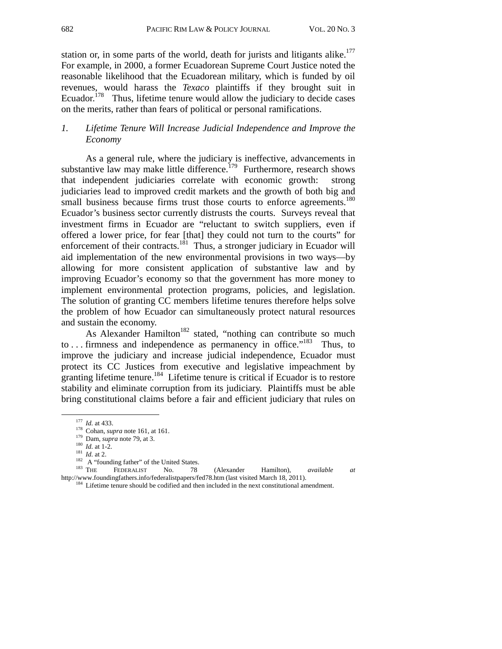station or, in some parts of the world, death for jurists and litigants alike. $177$ For example, in 2000, a former Ecuadorean Supreme Court Justice noted the reasonable likelihood that the Ecuadorean military, which is funded by oil revenues, would harass the *Texaco* plaintiffs if they brought suit in Ecuador.<sup>178</sup> Thus, lifetime tenure would allow the judiciary to decide cases on the merits, rather than fears of political or personal ramifications.

### *1. Lifetime Tenure Will Increase Judicial Independence and Improve the Economy*

As a general rule, where the judiciary is ineffective, advancements in substantive law may make little difference.<sup>179</sup> Furthermore, research shows that independent judiciaries correlate with economic growth: strong judiciaries lead to improved credit markets and the growth of both big and small business because firms trust those courts to enforce agreements.<sup>180</sup> Ecuador's business sector currently distrusts the courts. Surveys reveal that investment firms in Ecuador are "reluctant to switch suppliers, even if offered a lower price, for fear [that] they could not turn to the courts" for enforcement of their contracts.<sup>181</sup> Thus, a stronger judiciary in Ecuador will aid implementation of the new environmental provisions in two ways—by allowing for more consistent application of substantive law and by improving Ecuador's economy so that the government has more money to implement environmental protection programs, policies, and legislation. The solution of granting CC members lifetime tenures therefore helps solve the problem of how Ecuador can simultaneously protect natural resources and sustain the economy.

As Alexander Hamilton<sup>182</sup> stated, "nothing can contribute so much to . . . firmness and independence as permanency in office."183 Thus, to improve the judiciary and increase judicial independence, Ecuador must protect its CC Justices from executive and legislative impeachment by granting lifetime tenure.<sup>184</sup> Lifetime tenure is critical if Ecuador is to restore stability and eliminate corruption from its judiciary. Plaintiffs must be able bring constitutional claims before a fair and efficient judiciary that rules on

<sup>&</sup>lt;sup>177</sup> *Id.* at 433.<br>
<sup>178</sup> Cohan, *supra* note 161, at 161.<br>
<sup>179</sup> Dam, *supra* note 79, at 3.<br>
<sup>180</sup> *Id.* at 1-2.<br>
<sup>181</sup> *Id.* at 1-2.<br>
<sup>181</sup> *Id.* at 2.<br>
<sup>182</sup> A "founding father" of the United States.<br>
<sup>183</sup> THE FEDER http://www.foundingfathers.info/federalistpapers/fed78.htm (last visited March 18, 2011).<br><sup>184</sup> Lifetime tenure should be codified and then included in the next constitutional amendment.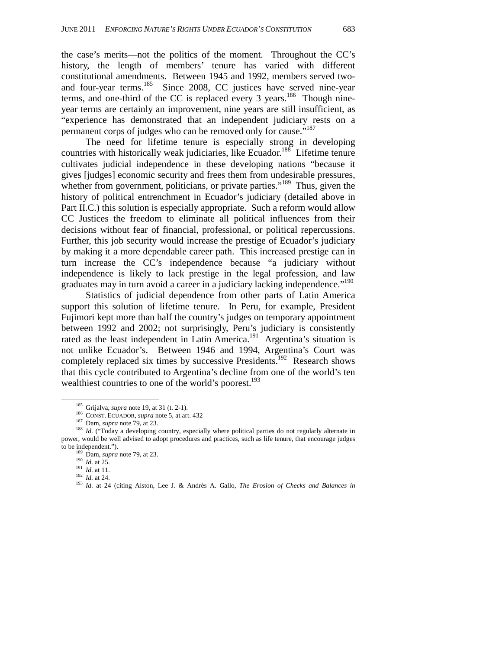the case's merits—not the politics of the moment. Throughout the CC's history, the length of members' tenure has varied with different constitutional amendments. Between 1945 and 1992, members served twoand four-year terms.<sup>185</sup> Since 2008, CC justices have served nine-year terms, and one-third of the CC is replaced every  $3$  years.<sup>186</sup> Though nineyear terms are certainly an improvement, nine years are still insufficient, as "experience has demonstrated that an independent judiciary rests on a permanent corps of judges who can be removed only for cause."<sup>187</sup>

The need for lifetime tenure is especially strong in developing countries with historically weak judiciaries, like Ecuador.<sup>188</sup> Lifetime tenure cultivates judicial independence in these developing nations "because it gives [judges] economic security and frees them from undesirable pressures, whether from government, politicians, or private parties."<sup>189</sup> Thus, given the history of political entrenchment in Ecuador's judiciary (detailed above in Part II.C.) this solution is especially appropriate. Such a reform would allow CC Justices the freedom to eliminate all political influences from their decisions without fear of financial, professional, or political repercussions. Further, this job security would increase the prestige of Ecuador's judiciary by making it a more dependable career path. This increased prestige can in turn increase the CC's independence because "a judiciary without independence is likely to lack prestige in the legal profession, and law graduates may in turn avoid a career in a judiciary lacking independence."<sup>190</sup>

Statistics of judicial dependence from other parts of Latin America support this solution of lifetime tenure. In Peru, for example, President Fujimori kept more than half the country's judges on temporary appointment between 1992 and 2002; not surprisingly, Peru's judiciary is consistently rated as the least independent in Latin America.<sup>191</sup> Argentina's situation is not unlike Ecuador's. Between 1946 and 1994, Argentina's Court was completely replaced six times by successive Presidents.<sup>192</sup> Research shows that this cycle contributed to Argentina's decline from one of the world's ten wealthiest countries to one of the world's poorest.<sup>193</sup>

<sup>&</sup>lt;sup>185</sup> Grijalva, *supra* note 19, at 31 (t. 2-1).<br><sup>186</sup> CONST. ECUADOR, *supra* note 5, at art. 432<br><sup>187</sup> Dam, *supra* note 79, at 23.<br><sup>187</sup> Dam, *supra* note 79, at 23.<br><sup>188</sup> Id. ("Today a developing country, especially w power, would be well advised to adopt procedures and practices, such as life tenure, that encourage judges

<sup>&</sup>lt;sup>189</sup> Dam, *supra* note 79, at 23.<br>
<sup>190</sup> Id. at 25.<br>
<sup>191</sup> Id. at 11.<br>
<sup>192</sup> Id. at 24.<br>
<sup>192</sup> Id. at 24 (citing Alston, Lee J. & Andrés A. Gallo, *The Erosion of Checks and Balances in*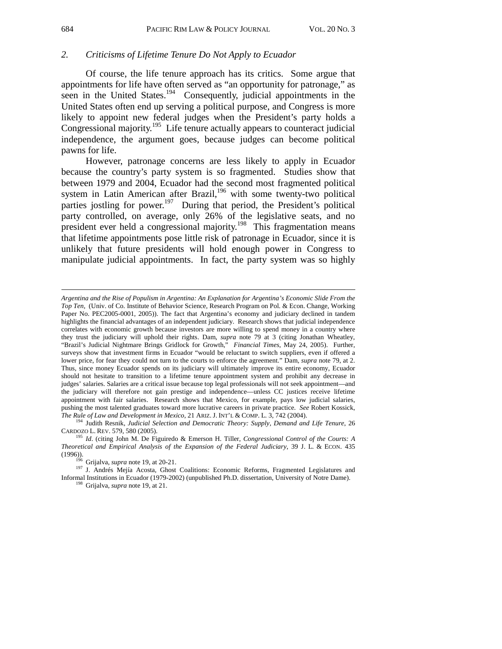### *2. Criticisms of Lifetime Tenure Do Not Apply to Ecuador*

Of course, the life tenure approach has its critics. Some argue that appointments for life have often served as "an opportunity for patronage," as seen in the United States.<sup>194</sup> Consequently, judicial appointments in the United States often end up serving a political purpose, and Congress is more likely to appoint new federal judges when the President's party holds a Congressional majority.<sup>195</sup> Life tenure actually appears to counteract judicial independence, the argument goes, because judges can become political pawns for life.

However, patronage concerns are less likely to apply in Ecuador because the country's party system is so fragmented. Studies show that between 1979 and 2004, Ecuador had the second most fragmented political system in Latin American after Brazil,<sup>196</sup> with some twenty-two political parties jostling for power.<sup>197</sup> During that period, the President's political party controlled, on average, only 26% of the legislative seats, and no president ever held a congressional majority.198 This fragmentation means that lifetime appointments pose little risk of patronage in Ecuador, since it is unlikely that future presidents will hold enough power in Congress to manipulate judicial appointments. In fact, the party system was so highly

l

*Argentina and the Rise of Populism in Argentina: An Explanation for Argentina's Economic Slide From the Top Ten*, (Univ. of Co. Institute of Behavior Science, Research Program on Pol. & Econ. Change, Working Paper No. PEC2005-0001, 2005)). The fact that Argentina's economy and judiciary declined in tandem highlights the financial advantages of an independent judiciary. Research shows that judicial independence correlates with economic growth because investors are more willing to spend money in a country where they trust the judiciary will uphold their rights. Dam, *supra* note 79 at 3 (citing Jonathan Wheatley, "Brazil's Judicial Nightmare Brings Gridlock for Growth," *Financial Times*, May 24, 2005). Further, surveys show that investment firms in Ecuador "would be reluctant to switch suppliers, even if offered a lower price, for fear they could not turn to the courts to enforce the agreement." Dam, *supra* note 79, at 2. Thus, since money Ecuador spends on its judiciary will ultimately improve its entire economy, Ecuador should not hesitate to transition to a lifetime tenure appointment system and prohibit any decrease in judges' salaries. Salaries are a critical issue because top legal professionals will not seek appointment—and the judiciary will therefore not gain prestige and independence—unless CC justices receive lifetime appointment with fair salaries. Research shows that Mexico, for example, pays low judicial salaries, pushing the most talented graduates toward more lucrative careers in private practice. *See* Robert Kossick, *The Rule of Law and Development in Mexico*, 21 ARIZ. J. INT'L & COMP. L. 3, 742 (2004). 194 Judith Resnik, *Judicial Selection and Democratic Theory: Supply, Demand and Life Tenure*, 26

CARDOZO L. REV. 579, 580 (2005). 195 *Id*. (citing John M. De Figuiredo & Emerson H. Tiller, *Congressional Control of the Courts: A* 

*Theoretical and Empirical Analysis of the Expansion of the Federal Judiciary*, 39 J. L. & ECON. 435 (1996)).<br>
<sup>196</sup> Griialva, *supra* note 19, at 20-21.

<sup>&</sup>lt;sup>197</sup> J. Andrés Mejía Acosta, Ghost Coalitions: Economic Reforms, Fragmented Legislatures and Informal Institutions in Ecuador (1979-2002) (unpublished Ph.D. dissertation, University of Notre Dame). 198 Grijalva, *supra* note 19, at 21.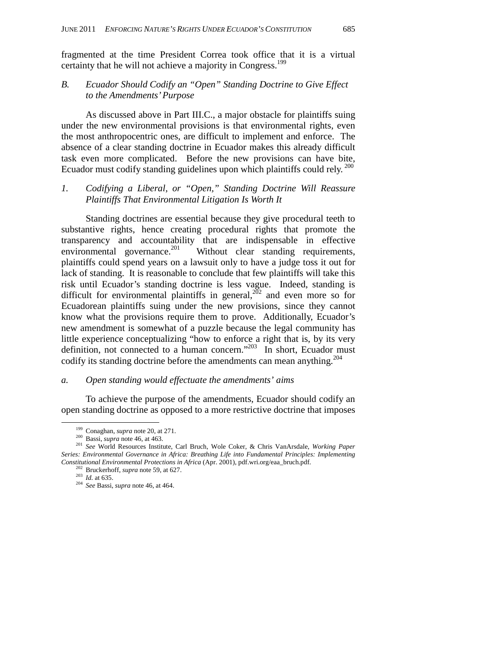fragmented at the time President Correa took office that it is a virtual certainty that he will not achieve a majority in Congress.<sup>199</sup>

### *B. Ecuador Should Codify an "Open" Standing Doctrine to Give Effect to the Amendments' Purpose*

 As discussed above in Part III.C., a major obstacle for plaintiffs suing under the new environmental provisions is that environmental rights, even the most anthropocentric ones, are difficult to implement and enforce. The absence of a clear standing doctrine in Ecuador makes this already difficult task even more complicated. Before the new provisions can have bite, Ecuador must codify standing guidelines upon which plaintiffs could rely. 200

### *1. Codifying a Liberal, or "Open," Standing Doctrine Will Reassure Plaintiffs That Environmental Litigation Is Worth It*

Standing doctrines are essential because they give procedural teeth to substantive rights, hence creating procedural rights that promote the transparency and accountability that are indispensable in effective environmental governance.<sup>201</sup> Without clear standing requirements, plaintiffs could spend years on a lawsuit only to have a judge toss it out for lack of standing. It is reasonable to conclude that few plaintiffs will take this risk until Ecuador's standing doctrine is less vague. Indeed, standing is difficult for environmental plaintiffs in general,  $\frac{202}{202}$  and even more so for Ecuadorean plaintiffs suing under the new provisions, since they cannot know what the provisions require them to prove. Additionally, Ecuador's new amendment is somewhat of a puzzle because the legal community has little experience conceptualizing "how to enforce a right that is, by its very definition, not connected to a human concern."<sup>203</sup> In short, Ecuador must codify its standing doctrine before the amendments can mean anything.<sup>204</sup>

#### *a. Open standing would effectuate the amendments' aims*

To achieve the purpose of the amendments, Ecuador should codify an open standing doctrine as opposed to a more restrictive doctrine that imposes

 <sup>199</sup> Conaghan, *supra* note 20, at 271. 200 Bassi, *supra* note 46, at 463. 201 *See* World Resources Institute, Carl Bruch, Wole Coker, & Chris VanArsdale, *Working Paper Series: Environmental Governance in Africa: Breathing Life into Fundamental Principles: Implementing*  Constitutional Environmental Protections in Africa (Apr. 2001), pdf.wri.org/eaa\_bruch.pdf.<br><sup>202</sup> Bruckerhoff, *supra* note 59, at 627.<br><sup>203</sup> Id. at 635.<br><sup>204</sup> See Bassi, *supra* note 46, at 464.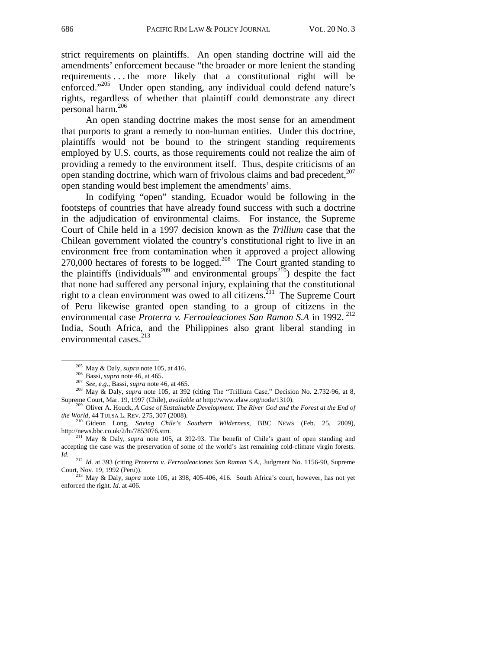strict requirements on plaintiffs. An open standing doctrine will aid the amendments' enforcement because "the broader or more lenient the standing requirements . . . the more likely that a constitutional right will be enforced."205 Under open standing, any individual could defend nature's rights, regardless of whether that plaintiff could demonstrate any direct personal harm.206

An open standing doctrine makes the most sense for an amendment that purports to grant a remedy to non-human entities. Under this doctrine, plaintiffs would not be bound to the stringent standing requirements employed by U.S. courts, as those requirements could not realize the aim of providing a remedy to the environment itself. Thus, despite criticisms of an open standing doctrine, which warn of frivolous claims and bad precedent.<sup>207</sup> open standing would best implement the amendments' aims.

In codifying "open" standing, Ecuador would be following in the footsteps of countries that have already found success with such a doctrine in the adjudication of environmental claims. For instance, the Supreme Court of Chile held in a 1997 decision known as the *Trillium* case that the Chilean government violated the country's constitutional right to live in an environment free from contamination when it approved a project allowing 270,000 hectares of forests to be logged.<sup>208</sup> The Court granted standing to the plaintiffs (individuals<sup>209</sup> and environmental groups<sup>210</sup>) despite the fact that none had suffered any personal injury, explaining that the constitutional right to a clean environment was owed to all citizens.<sup>211</sup> The Supreme Court of Peru likewise granted open standing to a group of citizens in the environmental case *Proterra v. Ferroaleaciones San Ramon S.A* in 1992.<sup>212</sup> India, South Africa, and the Philippines also grant liberal standing in environmental cases.<sup>213</sup>

<sup>&</sup>lt;sup>205</sup> May & Daly, *supra* note 105, at 416.<br><sup>206</sup> Bassi, *supra* note 46, at 465.<br><sup>207</sup> *See, e.g.*, Bassi, *supra* note 46, at 465.<br><sup>207</sup> *See, e.g.*, Bassi, *supra* note 46, at 465.<br><sup>208</sup> May & Daly, *supra* note 105, a

Supreme Court, Mar. 19, 1997 (Chile), *available at http://www.elaw.org/node/1310).* <sup>209</sup> Oliver A. Houck, *A Case of Sustainable Development: The River God and the Forest at the End of the World, 44 TULSA L. REV. 275, 30* 

<sup>&</sup>lt;sup>210</sup> Gideon Long, *Saving Chile's Southern Wilderness*, BBC NEWS (Feb. 25, 2009), http://news.bbc.co.uk/2/hi/7853076.stm.

<sup>&</sup>lt;sup>211</sup> May & Daly, *supra* note 105, at 392-93. The benefit of Chile's grant of open standing and accepting the case was the preservation of some of the world's last remaining cold-climate virgin forests.

*Id.* <sup>212</sup> *Id.* at 393 (citing *Proterra v. Ferroaleaciones San Ramon S.A.*, Judgment No. 1156-90, Supreme Court, Nov. 19, 1992 (Peru)).

<sup>&</sup>lt;sup>213</sup> May & Daly, *supra* note 105, at 398, 405-406, 416. South Africa's court, however, has not yet enforced the right. *Id.* at 406.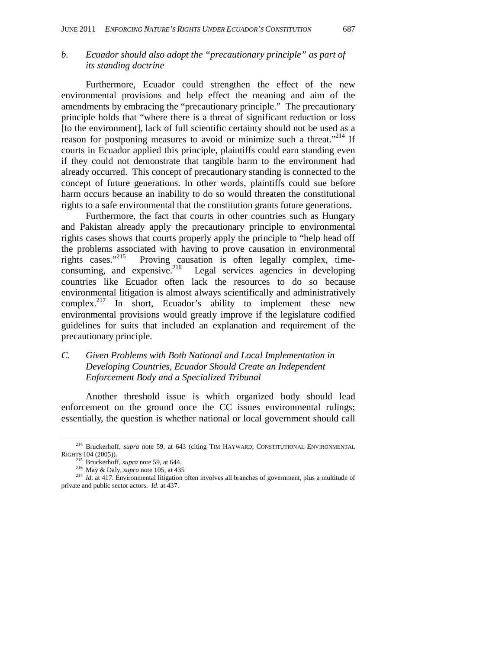### *b. Ecuador should also adopt the "precautionary principle" as part of its standing doctrine*

Furthermore, Ecuador could strengthen the effect of the new environmental provisions and help effect the meaning and aim of the amendments by embracing the "precautionary principle." The precautionary principle holds that "where there is a threat of significant reduction or loss [to the environment], lack of full scientific certainty should not be used as a reason for postponing measures to avoid or minimize such a threat."<sup>214</sup> If courts in Ecuador applied this principle, plaintiffs could earn standing even if they could not demonstrate that tangible harm to the environment had already occurred. This concept of precautionary standing is connected to the concept of future generations. In other words, plaintiffs could sue before harm occurs because an inability to do so would threaten the constitutional rights to a safe environmental that the constitution grants future generations.

Furthermore, the fact that courts in other countries such as Hungary and Pakistan already apply the precautionary principle to environmental rights cases shows that courts properly apply the principle to "help head off the problems associated with having to prove causation in environmental rights cases. $v^{215}$  Proving causation is often legally complex, timerights cases."<sup>215</sup> Proving causation is often legally complex, time-<br>consuming, and expensive.<sup>216</sup> Legal services agencies in developing Legal services agencies in developing. countries like Ecuador often lack the resources to do so because environmental litigation is almost always scientifically and administratively complex.<sup>217</sup> In short, Ecuador's ability to implement these new environmental provisions would greatly improve if the legislature codified guidelines for suits that included an explanation and requirement of the precautionary principle.

### *C. Given Problems with Both National and Local Implementation in Developing Countries, Ecuador Should Create an Independent Enforcement Body and a Specialized Tribunal*

Another threshold issue is which organized body should lead enforcement on the ground once the CC issues environmental rulings; essentially, the question is whether national or local government should call

<sup>&</sup>lt;sup>214</sup> Bruckerhoff, *supra* note 59, at 643 (citing TIM HAYWARD, CONSTITUTIONAL ENVIRONMENTAL RIGHTS 104 (2005)).

<sup>&</sup>lt;sup>215</sup> Bruckerhoff, *supra* note 59, at 644.<br><sup>216</sup> May & Daly, *supra* note 105, at 435<br><sup>217</sup> *Id.* at 417. Environmental litigation often involves all branches of government, plus a multitude of private and public sector actors. *Id*. at 437.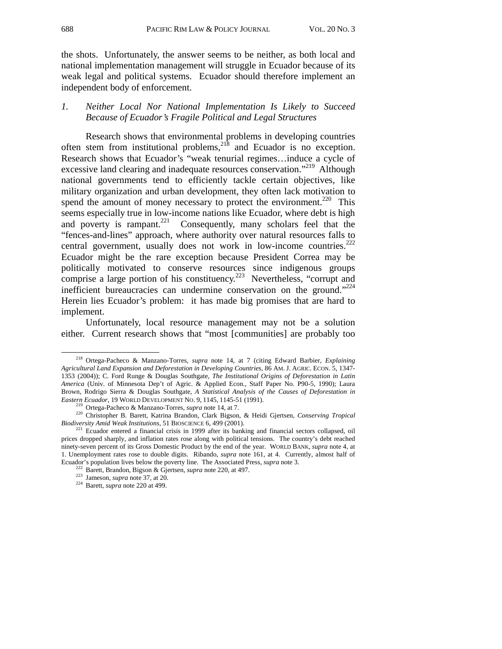the shots. Unfortunately, the answer seems to be neither, as both local and national implementation management will struggle in Ecuador because of its weak legal and political systems. Ecuador should therefore implement an independent body of enforcement.

### *1. Neither Local Nor National Implementation Is Likely to Succeed Because of Ecuador's Fragile Political and Legal Structures*

Research shows that environmental problems in developing countries often stem from institutional problems,  $2^{18}$  and Ecuador is no exception. Research shows that Ecuador's "weak tenurial regimes…induce a cycle of excessive land clearing and inadequate resources conservation."<sup>219</sup> Although national governments tend to efficiently tackle certain objectives, like military organization and urban development, they often lack motivation to spend the amount of money necessary to protect the environment.<sup>220</sup> This seems especially true in low-income nations like Ecuador, where debt is high and poverty is rampant.<sup>221</sup> Consequently, many scholars feel that the "fences-and-lines" approach, where authority over natural resources falls to central government, usually does not work in low-income countries.<sup>222</sup> Ecuador might be the rare exception because President Correa may be politically motivated to conserve resources since indigenous groups comprise a large portion of his constituency.<sup>223</sup> Nevertheless, "corrupt and inefficient bureaucracies can undermine conservation on the ground."<sup>224</sup> Herein lies Ecuador's problem: it has made big promises that are hard to implement.

Unfortunately, local resource management may not be a solution either. Current research shows that "most [communities] are probably too

 <sup>218</sup> Ortega-Pacheco & Manzano-Torres, *supra* note 14, at 7 (citing Edward Barbier, *Explaining Agricultural Land Expansion and Deforestation in Developing Countries*, 86 AM. J. AGRIC. ECON. 5, 1347- 1353 (2004)); C. Ford Runge & Douglas Southgate, *The Institutional Origins of Deforestation in Latin America* (Univ. of Minnesota Dep't of Agric. & Applied Econ., Staff Paper No. P90-5, 1990); Laura Brown, Rodrigo Sierra & Douglas Southgate, *A Statistical Analysis of the Causes of Deforestation in* 

Eastern Ecuador, 19 WORLD DEVELOPMENT NO. 9, 1145, 1145-51 (1991).<br><sup>219</sup> Ortega-Pacheco & Manzano-Torres, *supra* note 14, at 7.<br><sup>220</sup> Christopher B. Barett, Katrina Brandon, Clark Bigson, & Heidi Gjertsen, *Conserving Tro* 

<sup>&</sup>lt;sup>221</sup> Ecuador entered a financial crisis in 1999 after its banking and financial sectors collapsed, oil prices dropped sharply, and inflation rates rose along with political tensions. The country's debt reached ninety-seven percent of its Gross Domestic Product by the end of the year. WORLD BANK, *supra* note 4, at 1. Unemployment rates rose to double digits. Ribando, *supra* note 161, at 4. Currently, almost half of Ecuador's population lives below the poverty line. The Associated Press, *supra* note 3.<br><sup>222</sup> Barett, Brandon, Bigson & Gjertsen, *supra* note 220, at 497.<br><sup>223</sup> Jameson, *supra* note 37, at 20.<br><sup>224</sup> Barett, *supra* not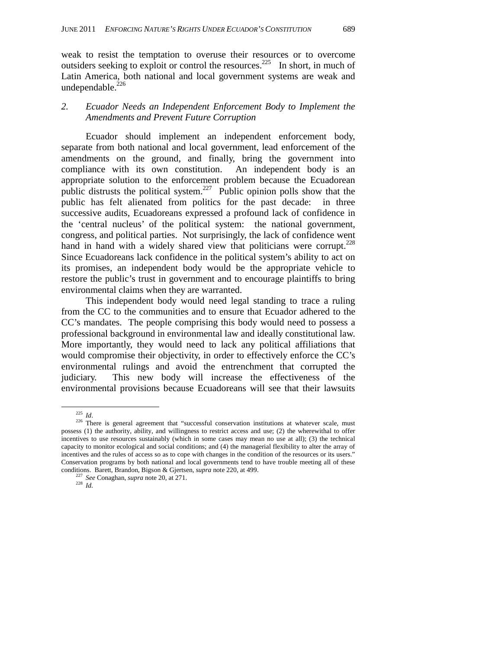weak to resist the temptation to overuse their resources or to overcome outsiders seeking to exploit or control the resources.<sup>225</sup> In short, in much of Latin America, both national and local government systems are weak and undependable.<sup>226</sup>

### *2. Ecuador Needs an Independent Enforcement Body to Implement the Amendments and Prevent Future Corruption*

Ecuador should implement an independent enforcement body, separate from both national and local government, lead enforcement of the amendments on the ground, and finally, bring the government into compliance with its own constitution. An independent body is an appropriate solution to the enforcement problem because the Ecuadorean public distrusts the political system.<sup>227</sup> Public opinion polls show that the public has felt alienated from politics for the past decade: in three successive audits, Ecuadoreans expressed a profound lack of confidence in the 'central nucleus' of the political system: the national government, congress, and political parties. Not surprisingly, the lack of confidence went hand in hand with a widely shared view that politicians were corrupt.<sup>228</sup> Since Ecuadoreans lack confidence in the political system's ability to act on its promises, an independent body would be the appropriate vehicle to restore the public's trust in government and to encourage plaintiffs to bring environmental claims when they are warranted.

This independent body would need legal standing to trace a ruling from the CC to the communities and to ensure that Ecuador adhered to the CC's mandates. The people comprising this body would need to possess a professional background in environmental law and ideally constitutional law. More importantly, they would need to lack any political affiliations that would compromise their objectivity, in order to effectively enforce the CC's environmental rulings and avoid the entrenchment that corrupted the judiciary. This new body will increase the effectiveness of the environmental provisions because Ecuadoreans will see that their lawsuits

<sup>&</sup>lt;sup>225</sup> *Id*. <sup>226</sup> There is general agreement that "successful conservation institutions at whatever scale, must possess (1) the authority, ability, and willingness to restrict access and use; (2) the wherewithal to offer incentives to use resources sustainably (which in some cases may mean no use at all); (3) the technical capacity to monitor ecological and social conditions; and (4) the managerial flexibility to alter the array of incentives and the rules of access so as to cope with changes in the condition of the resources or its users." Conservation programs by both national and local governments tend to have trouble meeting all of these conditions. Barett, Brandon, Bigson & Gjertsen, *supra* note 220, at 499. 227 *See* Conaghan, *supra* note 20, at 271. 228 *Id.*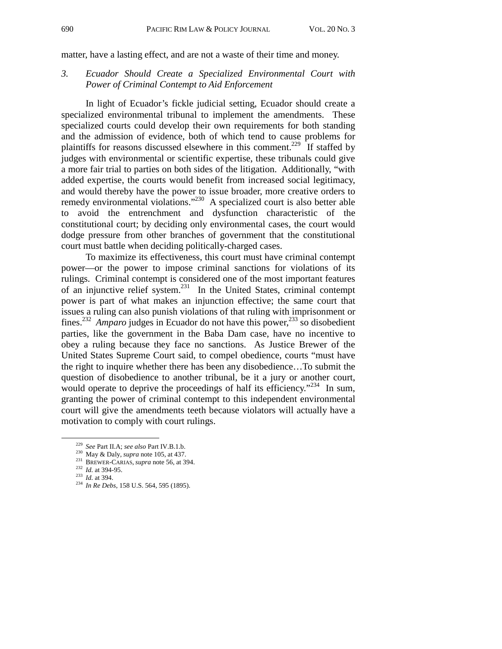matter, have a lasting effect, and are not a waste of their time and money.

*3. Ecuador Should Create a Specialized Environmental Court with Power of Criminal Contempt to Aid Enforcement* 

In light of Ecuador's fickle judicial setting, Ecuador should create a specialized environmental tribunal to implement the amendments. These specialized courts could develop their own requirements for both standing and the admission of evidence, both of which tend to cause problems for plaintiffs for reasons discussed elsewhere in this comment.<sup>229</sup> If staffed by judges with environmental or scientific expertise, these tribunals could give a more fair trial to parties on both sides of the litigation. Additionally, "with added expertise, the courts would benefit from increased social legitimacy, and would thereby have the power to issue broader, more creative orders to remedy environmental violations."230 A specialized court is also better able to avoid the entrenchment and dysfunction characteristic of the constitutional court; by deciding only environmental cases, the court would dodge pressure from other branches of government that the constitutional court must battle when deciding politically-charged cases.

To maximize its effectiveness, this court must have criminal contempt power—or the power to impose criminal sanctions for violations of its rulings. Criminal contempt is considered one of the most important features of an injunctive relief system.<sup>231</sup> In the United States, criminal contempt power is part of what makes an injunction effective; the same court that issues a ruling can also punish violations of that ruling with imprisonment or fines.232 *Amparo* judges in Ecuador do not have this power,233 so disobedient parties, like the government in the Baba Dam case, have no incentive to obey a ruling because they face no sanctions. As Justice Brewer of the United States Supreme Court said, to compel obedience, courts "must have the right to inquire whether there has been any disobedience…To submit the question of disobedience to another tribunal, be it a jury or another court, would operate to deprive the proceedings of half its efficiency."<sup>234</sup> In sum, granting the power of criminal contempt to this independent environmental court will give the amendments teeth because violators will actually have a motivation to comply with court rulings.

<sup>&</sup>lt;sup>229</sup> See Part II.A; see also Part IV.B.1.b.<br><sup>230</sup> May & Daly, *supra* note 105, at 437.<br><sup>231</sup> BREWER-CARIAS, *supra* note 56, at 394.<br><sup>232</sup> Id. at 394-95.<br><sup>233</sup> Id. at 394.<br><sup>234</sup> In Re Debs, 158 U.S. 564, 595 (1895).